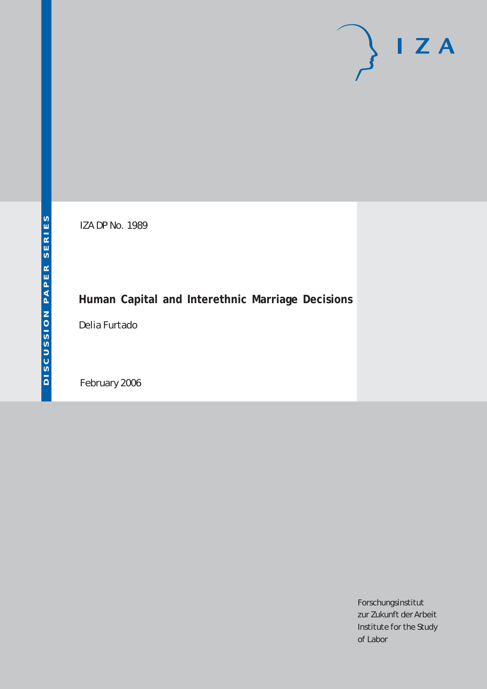# $I Z A$

IZA DP No. 1989

## **Human Capital and Interethnic Marriage Decisions**

Delia Furtado

February 2006

Forschungsinstitut zur Zukunft der Arbeit Institute for the Study of Labor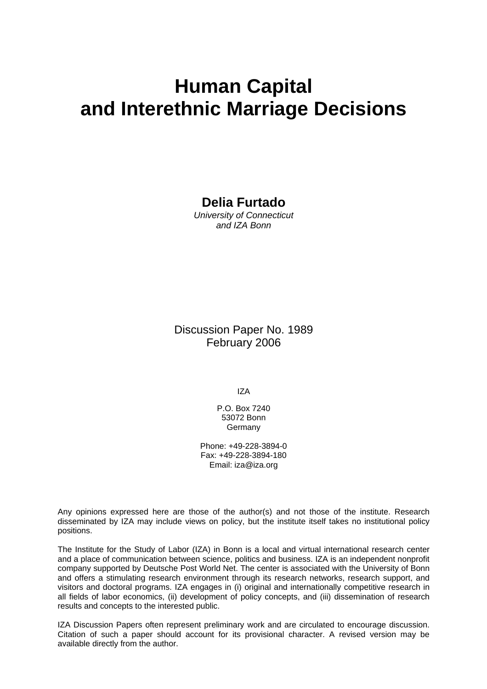# **Human Capital and Interethnic Marriage Decisions**

## **Delia Furtado**

*University of Connecticut and IZA Bonn* 

## Discussion Paper No. 1989 February 2006

IZA

P.O. Box 7240 53072 Bonn Germany

Phone: +49-228-3894-0 Fax: +49-228-3894-180 Email: [iza@iza.org](mailto:iza@iza.org)

Any opinions expressed here are those of the author(s) and not those of the institute. Research disseminated by IZA may include views on policy, but the institute itself takes no institutional policy positions.

The Institute for the Study of Labor (IZA) in Bonn is a local and virtual international research center and a place of communication between science, politics and business. IZA is an independent nonprofit company supported by Deutsche Post World Net. The center is associated with the University of Bonn and offers a stimulating research environment through its research networks, research support, and visitors and doctoral programs. IZA engages in (i) original and internationally competitive research in all fields of labor economics, (ii) development of policy concepts, and (iii) dissemination of research results and concepts to the interested public.

IZA Discussion Papers often represent preliminary work and are circulated to encourage discussion. Citation of such a paper should account for its provisional character. A revised version may be available directly from the author.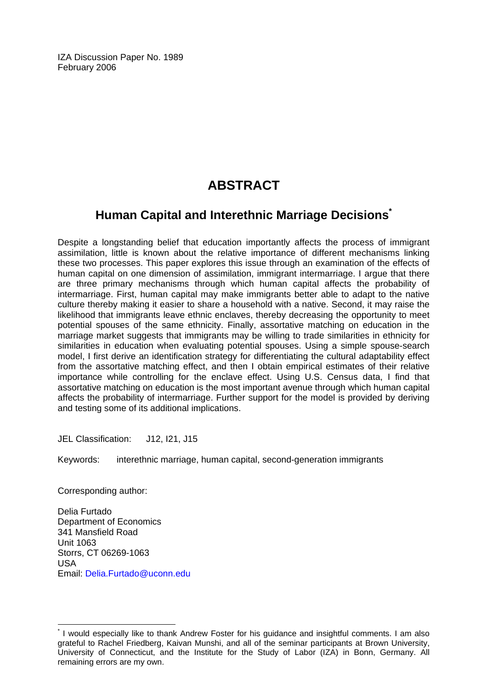IZA Discussion Paper No. 1989 February 2006

## **ABSTRACT**

## **Human Capital and Interethnic Marriage Decision[s\\*](#page-2-0)**

Despite a longstanding belief that education importantly affects the process of immigrant assimilation, little is known about the relative importance of different mechanisms linking these two processes. This paper explores this issue through an examination of the effects of human capital on one dimension of assimilation, immigrant intermarriage. I argue that there are three primary mechanisms through which human capital affects the probability of intermarriage. First, human capital may make immigrants better able to adapt to the native culture thereby making it easier to share a household with a native. Second, it may raise the likelihood that immigrants leave ethnic enclaves, thereby decreasing the opportunity to meet potential spouses of the same ethnicity. Finally, assortative matching on education in the marriage market suggests that immigrants may be willing to trade similarities in ethnicity for similarities in education when evaluating potential spouses. Using a simple spouse-search model, I first derive an identification strategy for differentiating the cultural adaptability effect from the assortative matching effect, and then I obtain empirical estimates of their relative importance while controlling for the enclave effect. Using U.S. Census data, I find that assortative matching on education is the most important avenue through which human capital affects the probability of intermarriage. Further support for the model is provided by deriving and testing some of its additional implications.

JEL Classification: J12, I21, J15

Keywords: interethnic marriage, human capital, second-generation immigrants

Corresponding author:

 $\overline{a}$ 

Delia Furtado Department of Economics 341 Mansfield Road Unit 1063 Storrs, CT 06269-1063  $IISA$ Email: [Delia.Furtado@uconn.edu](mailto:Delia.Furtado@uconn.edu) 

<span id="page-2-0"></span><sup>\*</sup> I would especially like to thank Andrew Foster for his guidance and insightful comments. I am also grateful to Rachel Friedberg, Kaivan Munshi, and all of the seminar participants at Brown University, University of Connecticut, and the Institute for the Study of Labor (IZA) in Bonn, Germany. All remaining errors are my own.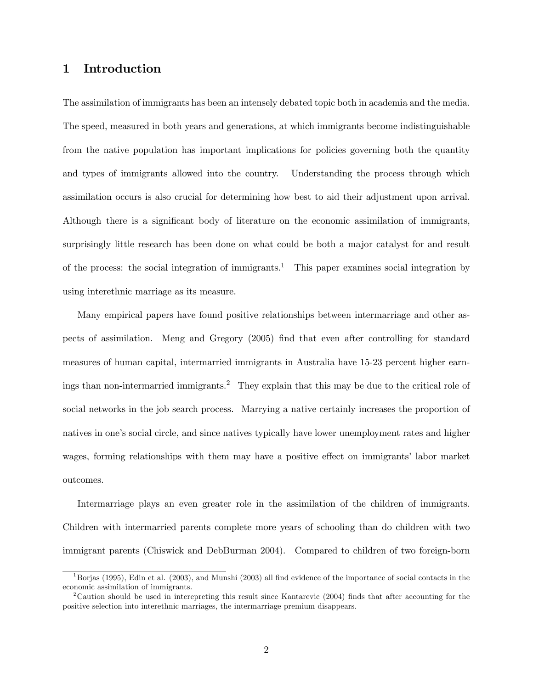## 1 Introduction

The assimilation of immigrants has been an intensely debated topic both in academia and the media. The speed, measured in both years and generations, at which immigrants become indistinguishable from the native population has important implications for policies governing both the quantity and types of immigrants allowed into the country. Understanding the process through which assimilation occurs is also crucial for determining how best to aid their adjustment upon arrival. Although there is a significant body of literature on the economic assimilation of immigrants, surprisingly little research has been done on what could be both a major catalyst for and result of the process: the social integration of immigrants.<sup>1</sup> This paper examines social integration by using interethnic marriage as its measure.

Many empirical papers have found positive relationships between intermarriage and other aspects of assimilation. Meng and Gregory (2005) find that even after controlling for standard measures of human capital, intermarried immigrants in Australia have 15-23 percent higher earnings than non-intermarried immigrants.<sup>2</sup> They explain that this may be due to the critical role of social networks in the job search process. Marrying a native certainly increases the proportion of natives in one's social circle, and since natives typically have lower unemployment rates and higher wages, forming relationships with them may have a positive effect on immigrants' labor market outcomes.

Intermarriage plays an even greater role in the assimilation of the children of immigrants. Children with intermarried parents complete more years of schooling than do children with two immigrant parents (Chiswick and DebBurman 2004). Compared to children of two foreign-born

 $1B\sigma$ jas (1995), Edin et al. (2003), and Munshi (2003) all find evidence of the importance of social contacts in the economic assimilation of immigrants.

<sup>&</sup>lt;sup>2</sup>Caution should be used in interepreting this result since Kantarevic (2004) finds that after accounting for the positive selection into interethnic marriages, the intermarriage premium disappears.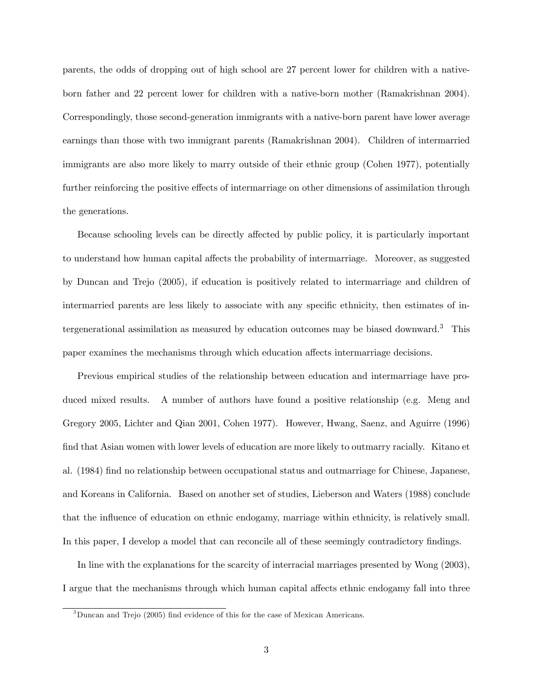parents, the odds of dropping out of high school are 27 percent lower for children with a nativeborn father and 22 percent lower for children with a native-born mother (Ramakrishnan 2004). Correspondingly, those second-generation immigrants with a native-born parent have lower average earnings than those with two immigrant parents (Ramakrishnan 2004). Children of intermarried immigrants are also more likely to marry outside of their ethnic group (Cohen 1977), potentially further reinforcing the positive effects of intermarriage on other dimensions of assimilation through the generations.

Because schooling levels can be directly affected by public policy, it is particularly important to understand how human capital affects the probability of intermarriage. Moreover, as suggested by Duncan and Trejo (2005), if education is positively related to intermarriage and children of intermarried parents are less likely to associate with any specific ethnicity, then estimates of intergenerational assimilation as measured by education outcomes may be biased downward.3 This paper examines the mechanisms through which education affects intermarriage decisions.

Previous empirical studies of the relationship between education and intermarriage have produced mixed results. A number of authors have found a positive relationship (e.g. Meng and Gregory 2005, Lichter and Qian 2001, Cohen 1977). However, Hwang, Saenz, and Aguirre (1996) find that Asian women with lower levels of education are more likely to outmarry racially. Kitano et al. (1984) find no relationship between occupational status and outmarriage for Chinese, Japanese, and Koreans in California. Based on another set of studies, Lieberson and Waters (1988) conclude that the influence of education on ethnic endogamy, marriage within ethnicity, is relatively small. In this paper, I develop a model that can reconcile all of these seemingly contradictory findings.

In line with the explanations for the scarcity of interracial marriages presented by Wong (2003), I argue that the mechanisms through which human capital affects ethnic endogamy fall into three

<sup>3</sup>Duncan and Trejo (2005) find evidence of this for the case of Mexican Americans.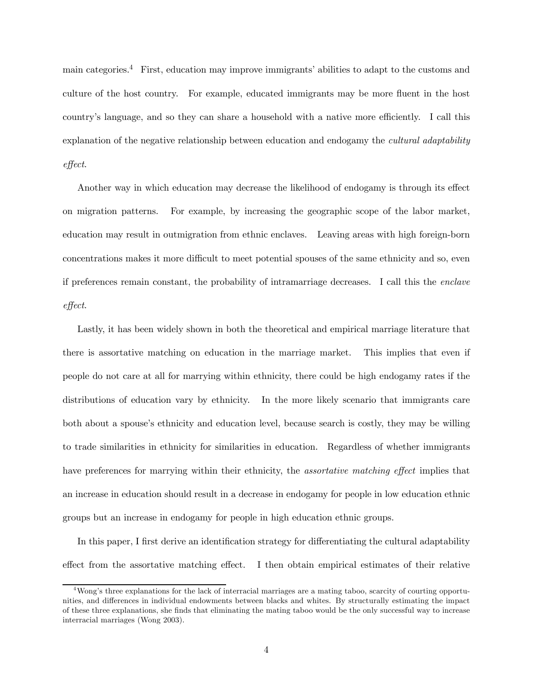main categories.4 First, education may improve immigrants' abilities to adapt to the customs and culture of the host country. For example, educated immigrants may be more fluent in the host country's language, and so they can share a household with a native more efficiently. I call this explanation of the negative relationship between education and endogamy the *cultural adaptability* effect.

Another way in which education may decrease the likelihood of endogamy is through its effect on migration patterns. For example, by increasing the geographic scope of the labor market, education may result in outmigration from ethnic enclaves. Leaving areas with high foreign-born concentrations makes it more difficult to meet potential spouses of the same ethnicity and so, even if preferences remain constant, the probability of intramarriage decreases. I call this the enclave effect.

Lastly, it has been widely shown in both the theoretical and empirical marriage literature that there is assortative matching on education in the marriage market. This implies that even if people do not care at all for marrying within ethnicity, there could be high endogamy rates if the distributions of education vary by ethnicity. In the more likely scenario that immigrants care both about a spouse's ethnicity and education level, because search is costly, they may be willing to trade similarities in ethnicity for similarities in education. Regardless of whether immigrants have preferences for marrying within their ethnicity, the *assortative matching effect* implies that an increase in education should result in a decrease in endogamy for people in low education ethnic groups but an increase in endogamy for people in high education ethnic groups.

In this paper, I first derive an identification strategy for differentiating the cultural adaptability effect from the assortative matching effect. I then obtain empirical estimates of their relative

<sup>4</sup>Wong's three explanations for the lack of interracial marriages are a mating taboo, scarcity of courting opportunities, and differences in individual endowments between blacks and whites. By structurally estimating the impact of these three explanations, she finds that eliminating the mating taboo would be the only successful way to increase interracial marriages (Wong 2003).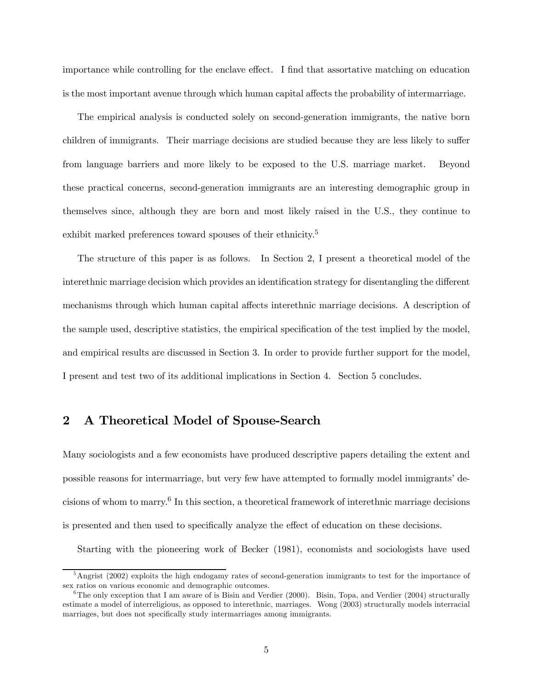importance while controlling for the enclave effect. I find that assortative matching on education is the most important avenue through which human capital affects the probability of intermarriage.

The empirical analysis is conducted solely on second-generation immigrants, the native born children of immigrants. Their marriage decisions are studied because they are less likely to suffer from language barriers and more likely to be exposed to the U.S. marriage market. Beyond these practical concerns, second-generation immigrants are an interesting demographic group in themselves since, although they are born and most likely raised in the U.S., they continue to exhibit marked preferences toward spouses of their ethnicity.<sup>5</sup>

The structure of this paper is as follows. In Section 2, I present a theoretical model of the interethnic marriage decision which provides an identification strategy for disentangling the different mechanisms through which human capital affects interethnic marriage decisions. A description of the sample used, descriptive statistics, the empirical specification of the test implied by the model, and empirical results are discussed in Section 3. In order to provide further support for the model, I present and test two of its additional implications in Section 4. Section 5 concludes.

### 2 A Theoretical Model of Spouse-Search

Many sociologists and a few economists have produced descriptive papers detailing the extent and possible reasons for intermarriage, but very few have attempted to formally model immigrants' decisions of whom to marry.6 In this section, a theoretical framework of interethnic marriage decisions is presented and then used to specifically analyze the effect of education on these decisions.

Starting with the pioneering work of Becker (1981), economists and sociologists have used

<sup>&</sup>lt;sup>5</sup>Angrist (2002) exploits the high endogamy rates of second-generation immigrants to test for the importance of sex ratios on various economic and demographic outcomes.

<sup>&</sup>lt;sup>6</sup>The only exception that I am aware of is Bisin and Verdier (2000). Bisin, Topa, and Verdier (2004) structurally estimate a model of interreligious, as opposed to interethnic, marriages. Wong (2003) structurally models interracial marriages, but does not specifically study intermarriages among immigrants.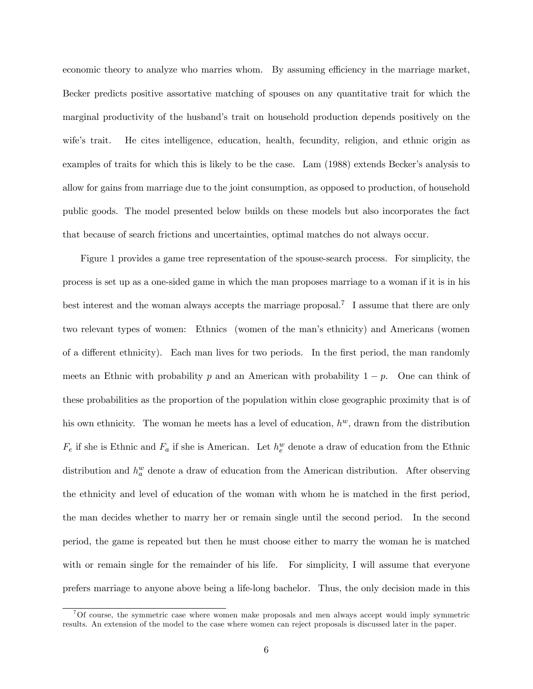economic theory to analyze who marries whom. By assuming efficiency in the marriage market, Becker predicts positive assortative matching of spouses on any quantitative trait for which the marginal productivity of the husband's trait on household production depends positively on the wife's trait. He cites intelligence, education, health, fecundity, religion, and ethnic origin as examples of traits for which this is likely to be the case. Lam (1988) extends Becker's analysis to allow for gains from marriage due to the joint consumption, as opposed to production, of household public goods. The model presented below builds on these models but also incorporates the fact that because of search frictions and uncertainties, optimal matches do not always occur.

Figure 1 provides a game tree representation of the spouse-search process. For simplicity, the process is set up as a one-sided game in which the man proposes marriage to a woman if it is in his best interest and the woman always accepts the marriage proposal.7 I assume that there are only two relevant types of women: Ethnics (women of the man's ethnicity) and Americans (women of a different ethnicity). Each man lives for two periods. In the first period, the man randomly meets an Ethnic with probability p and an American with probability  $1 - p$ . One can think of these probabilities as the proportion of the population within close geographic proximity that is of his own ethnicity. The woman he meets has a level of education,  $h^w$ , drawn from the distribution  $F_e$  if she is Ethnic and  $F_a$  if she is American. Let  $h_e^w$  denote a draw of education from the Ethnic distribution and  $h_a^w$  denote a draw of education from the American distribution. After observing the ethnicity and level of education of the woman with whom he is matched in the first period, the man decides whether to marry her or remain single until the second period. In the second period, the game is repeated but then he must choose either to marry the woman he is matched with or remain single for the remainder of his life. For simplicity, I will assume that everyone prefers marriage to anyone above being a life-long bachelor. Thus, the only decision made in this

<sup>7</sup>Of course, the symmetric case where women make proposals and men always accept would imply symmetric results. An extension of the model to the case where women can reject proposals is discussed later in the paper.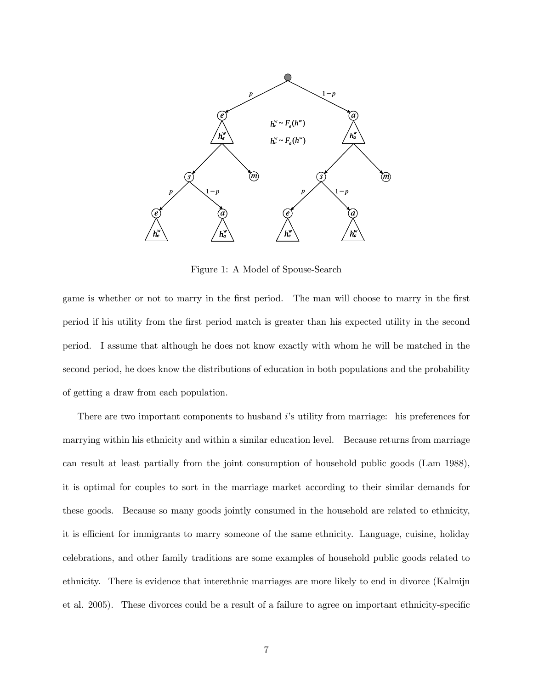

Figure 1: A Model of Spouse-Search

game is whether or not to marry in the first period. The man will choose to marry in the first period if his utility from the first period match is greater than his expected utility in the second period. I assume that although he does not know exactly with whom he will be matched in the second period, he does know the distributions of education in both populations and the probability of getting a draw from each population.

There are two important components to husband i's utility from marriage: his preferences for marrying within his ethnicity and within a similar education level. Because returns from marriage can result at least partially from the joint consumption of household public goods (Lam 1988), it is optimal for couples to sort in the marriage market according to their similar demands for these goods. Because so many goods jointly consumed in the household are related to ethnicity, it is efficient for immigrants to marry someone of the same ethnicity. Language, cuisine, holiday celebrations, and other family traditions are some examples of household public goods related to ethnicity. There is evidence that interethnic marriages are more likely to end in divorce (Kalmijn et al. 2005). These divorces could be a result of a failure to agree on important ethnicity-specific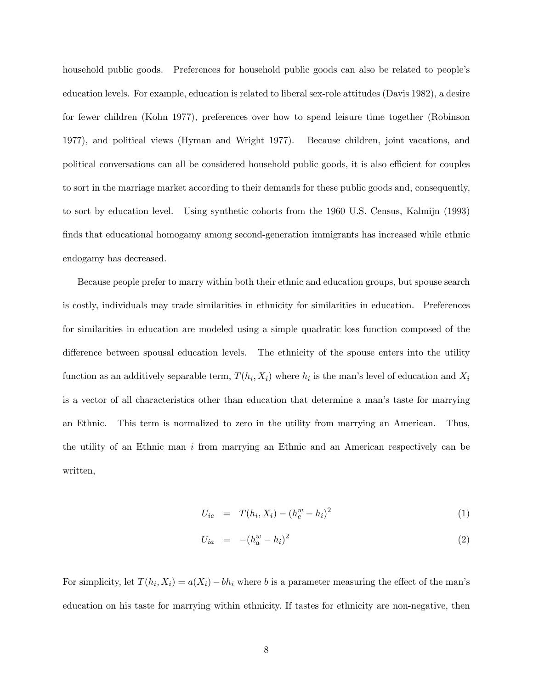household public goods. Preferences for household public goods can also be related to people's education levels. For example, education is related to liberal sex-role attitudes (Davis 1982), a desire for fewer children (Kohn 1977), preferences over how to spend leisure time together (Robinson 1977), and political views (Hyman and Wright 1977). Because children, joint vacations, and political conversations can all be considered household public goods, it is also efficient for couples to sort in the marriage market according to their demands for these public goods and, consequently, to sort by education level. Using synthetic cohorts from the 1960 U.S. Census, Kalmijn (1993) finds that educational homogamy among second-generation immigrants has increased while ethnic endogamy has decreased.

Because people prefer to marry within both their ethnic and education groups, but spouse search is costly, individuals may trade similarities in ethnicity for similarities in education. Preferences for similarities in education are modeled using a simple quadratic loss function composed of the difference between spousal education levels. The ethnicity of the spouse enters into the utility function as an additively separable term,  $T(h_i, X_i)$  where  $h_i$  is the man's level of education and  $X_i$ is a vector of all characteristics other than education that determine a man's taste for marrying an Ethnic. This term is normalized to zero in the utility from marrying an American. Thus, the utility of an Ethnic man  $i$  from marrying an Ethnic and an American respectively can be written,

$$
U_{ie} = T(h_i, X_i) - (h_e^w - h_i)^2
$$
\n(1)

$$
U_{ia} = -(h_a^w - h_i)^2
$$
 (2)

For simplicity, let  $T(h_i, X_i) = a(X_i) - bh_i$  where b is a parameter measuring the effect of the man's education on his taste for marrying within ethnicity. If tastes for ethnicity are non-negative, then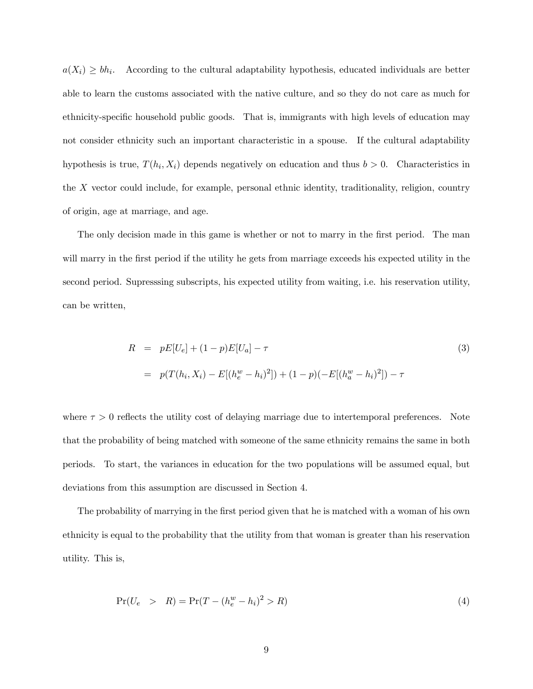$a(X_i) \geq bh_i$ . According to the cultural adaptability hypothesis, educated individuals are better able to learn the customs associated with the native culture, and so they do not care as much for ethnicity-specific household public goods. That is, immigrants with high levels of education may not consider ethnicity such an important characteristic in a spouse. If the cultural adaptability hypothesis is true,  $T(h_i, X_i)$  depends negatively on education and thus  $b > 0$ . Characteristics in the X vector could include, for example, personal ethnic identity, traditionality, religion, country of origin, age at marriage, and age.

The only decision made in this game is whether or not to marry in the first period. The man will marry in the first period if the utility he gets from marriage exceeds his expected utility in the second period. Supresssing subscripts, his expected utility from waiting, i.e. his reservation utility, can be written,

$$
R = pE[U_e] + (1 - p)E[U_a] - \tau
$$
\n
$$
= p(T(h_i, X_i) - E[(h_e^w - h_i)^2]) + (1 - p)(-E[(h_a^w - h_i)^2]) - \tau
$$
\n(3)

where  $\tau > 0$  reflects the utility cost of delaying marriage due to intertemporal preferences. Note that the probability of being matched with someone of the same ethnicity remains the same in both periods. To start, the variances in education for the two populations will be assumed equal, but deviations from this assumption are discussed in Section 4.

The probability of marrying in the first period given that he is matched with a woman of his own ethnicity is equal to the probability that the utility from that woman is greater than his reservation utility. This is,

$$
Pr(U_e > R) = Pr(T - (h_e^w - h_i)^2 > R)
$$
\n(4)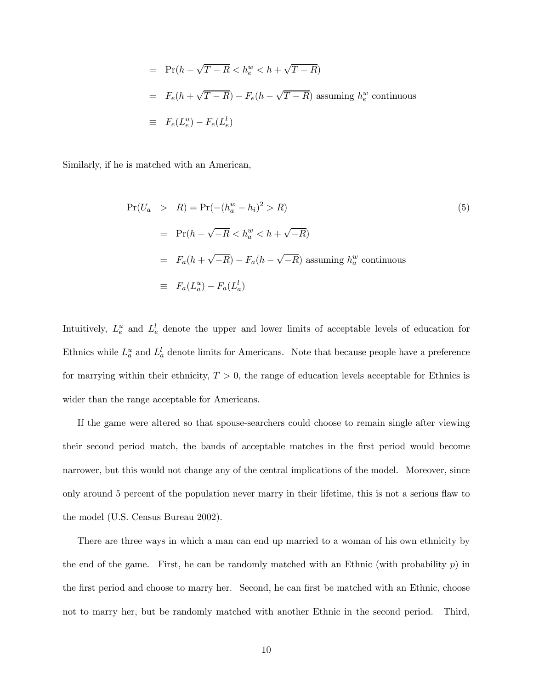$$
= \Pr(h - \sqrt{T - R} < h_e^w < h + \sqrt{T - R})
$$
\n
$$
= F_e(h + \sqrt{T - R}) - F_e(h - \sqrt{T - R}) \text{ assuming } h_e^w \text{ continuous}
$$
\n
$$
\equiv F_e(L_e^u) - F_e(L_e^l)
$$

Similarly, if he is matched with an American,

$$
Pr(U_a > R) = Pr(-(h_a^w - h_i)^2 > R)
$$
\n
$$
= Pr(h - \sqrt{-R} < h_a^w < h + \sqrt{-R})
$$
\n
$$
= F_a(h + \sqrt{-R}) - F_a(h - \sqrt{-R}) \text{ assuming } h_a^w \text{ continuous}
$$
\n
$$
\equiv F_a(L_a^u) - F_a(L_a^l)
$$
\n(5)

Intuitively,  $L_e^u$  and  $L_e^l$  denote the upper and lower limits of acceptable levels of education for Ethnics while  $L_a^u$  and  $L_a^l$  denote limits for Americans. Note that because people have a preference for marrying within their ethnicity,  $T > 0$ , the range of education levels acceptable for Ethnics is wider than the range acceptable for Americans.

If the game were altered so that spouse-searchers could choose to remain single after viewing their second period match, the bands of acceptable matches in the first period would become narrower, but this would not change any of the central implications of the model. Moreover, since only around 5 percent of the population never marry in their lifetime, this is not a serious flaw to the model (U.S. Census Bureau 2002).

There are three ways in which a man can end up married to a woman of his own ethnicity by the end of the game. First, he can be randomly matched with an Ethnic (with probability  $p$ ) in the first period and choose to marry her. Second, he can first be matched with an Ethnic, choose not to marry her, but be randomly matched with another Ethnic in the second period. Third,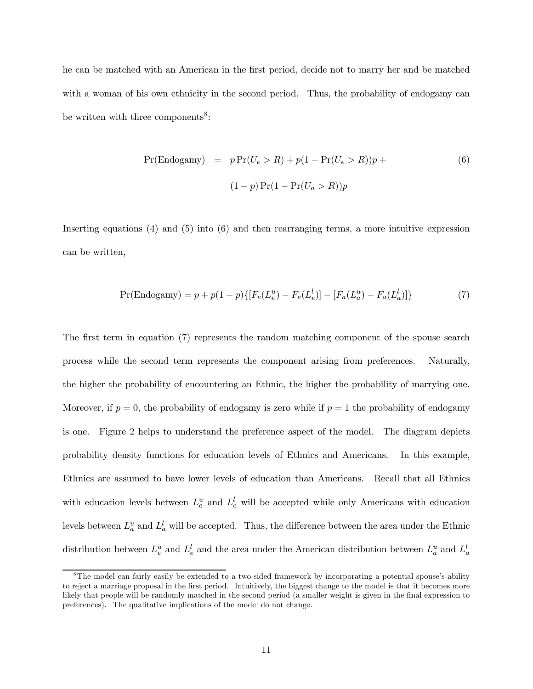he can be matched with an American in the first period, decide not to marry her and be matched with a woman of his own ethnicity in the second period. Thus, the probability of endogamy can be written with three components<sup>8</sup>:

$$
Pr(Endogamy) = p Pr(Ue > R) + p(1 - Pr(Ue > R))p +
$$

$$
(1 - p) Pr(1 - Pr(Ua > R))p
$$
 (6)

Inserting equations (4) and (5) into (6) and then rearranging terms, a more intuitive expression can be written,

$$
Pr(\text{Endogamy}) = p + p(1 - p)\{[F_e(L_e^u) - F_e(L_e^l)] - [F_a(L_a^u) - F_a(L_a^l)]\}
$$
(7)

The first term in equation (7) represents the random matching component of the spouse search process while the second term represents the component arising from preferences. Naturally, the higher the probability of encountering an Ethnic, the higher the probability of marrying one. Moreover, if  $p = 0$ , the probability of endogamy is zero while if  $p = 1$  the probability of endogamy is one. Figure 2 helps to understand the preference aspect of the model. The diagram depicts probability density functions for education levels of Ethnics and Americans. In this example, Ethnics are assumed to have lower levels of education than Americans. Recall that all Ethnics with education levels between  $L_e^u$  and  $L_e^l$  will be accepted while only Americans with education levels between  $L_a^u$  and  $L_a^l$  will be accepted. Thus, the difference between the area under the Ethnic distribution between  $L_e^u$  and  $L_e^l$  and the area under the American distribution between  $L_a^u$  and  $L_a^l$ 

<sup>&</sup>lt;sup>8</sup>The model can fairly easily be extended to a two-sided framework by incorporating a potential spouse's ability to reject a marriage proposal in the first period. Intuitively, the biggest change to the model is that it becomes more likely that people will be randomly matched in the second period (a smaller weight is given in the final expression to preferences). The qualitative implications of the model do not change.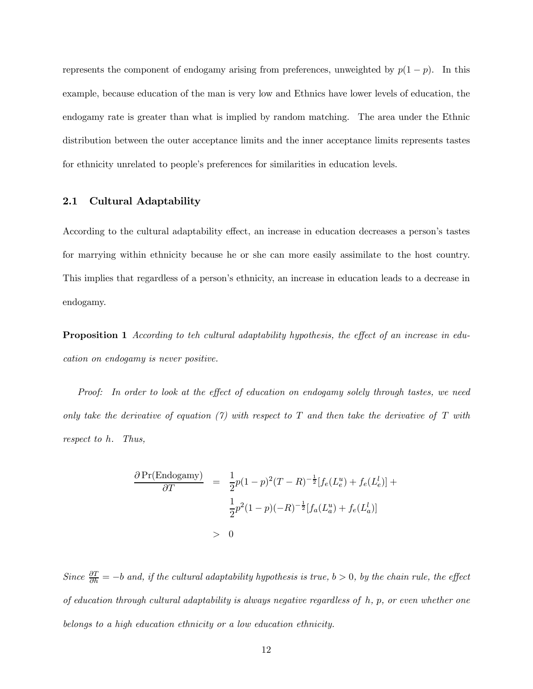represents the component of endogamy arising from preferences, unweighted by  $p(1-p)$ . In this example, because education of the man is very low and Ethnics have lower levels of education, the endogamy rate is greater than what is implied by random matching. The area under the Ethnic distribution between the outer acceptance limits and the inner acceptance limits represents tastes for ethnicity unrelated to people's preferences for similarities in education levels.

#### 2.1 Cultural Adaptability

According to the cultural adaptability effect, an increase in education decreases a person's tastes for marrying within ethnicity because he or she can more easily assimilate to the host country. This implies that regardless of a person's ethnicity, an increase in education leads to a decrease in endogamy.

**Proposition 1** According to teh cultural adaptability hypothesis, the effect of an increase in education on endogamy is never positive.

Proof: In order to look at the effect of education on endogamy solely through tastes, we need only take the derivative of equation  $(\gamma)$  with respect to T and then take the derivative of T with respect to h. Thus,

$$
\frac{\partial \Pr(\text{Endogamy})}{\partial T} = \frac{1}{2}p(1-p)^2(T-R)^{-\frac{1}{2}}[f_e(L_e^u) + f_e(L_e^l)] + \frac{1}{2}p^2(1-p)(-R)^{-\frac{1}{2}}[f_a(L_a^u) + f_e(L_a^l)]
$$
  
> 0

Since  $\frac{\partial T}{\partial h} = -b$  and, if the cultural adaptability hypothesis is true,  $b > 0$ , by the chain rule, the effect of education through cultural adaptability is always negative regardless of h, p, or even whether one belongs to a high education ethnicity or a low education ethnicity.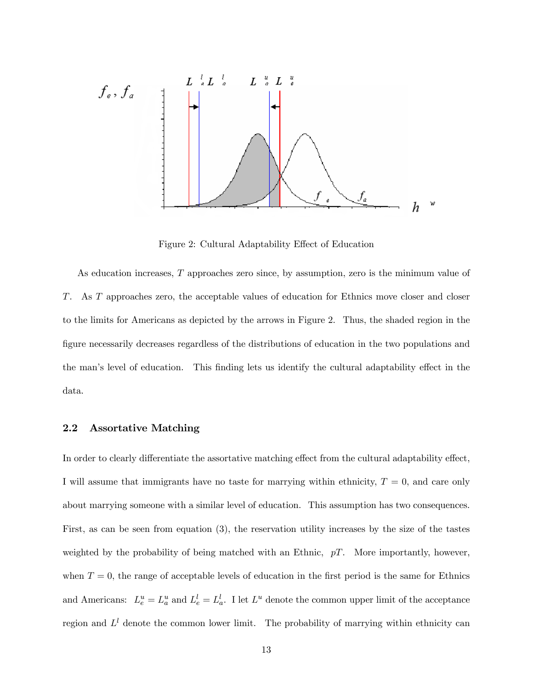

Figure 2: Cultural Adaptability Effect of Education

As education increases, T approaches zero since, by assumption, zero is the minimum value of T. As T approaches zero, the acceptable values of education for Ethnics move closer and closer to the limits for Americans as depicted by the arrows in Figure 2. Thus, the shaded region in the figure necessarily decreases regardless of the distributions of education in the two populations and the man's level of education. This finding lets us identify the cultural adaptability effect in the data.

#### 2.2 Assortative Matching

In order to clearly differentiate the assortative matching effect from the cultural adaptability effect, I will assume that immigrants have no taste for marrying within ethnicity,  $T = 0$ , and care only about marrying someone with a similar level of education. This assumption has two consequences. First, as can be seen from equation (3), the reservation utility increases by the size of the tastes weighted by the probability of being matched with an Ethnic,  $pT$ . More importantly, however, when  $T = 0$ , the range of acceptable levels of education in the first period is the same for Ethnics and Americans:  $L_e^u = L_a^u$  and  $L_e^l = L_a^l$ . I let  $L^u$  denote the common upper limit of the acceptance region and  $L^l$  denote the common lower limit. The probability of marrying within ethnicity can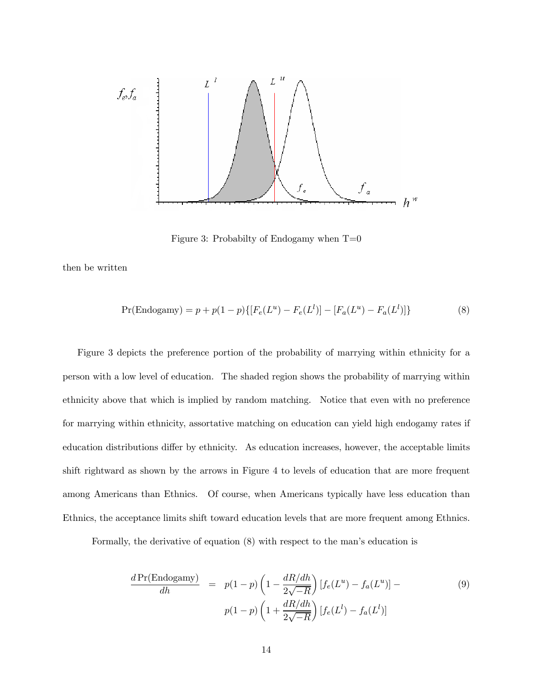

Figure 3: Probabilty of Endogamy when  $T=0$ 

then be written

$$
Pr(\text{Endogamy}) = p + p(1 - p)\{[F_e(L^u) - F_e(L^l)] - [F_a(L^u) - F_a(L^l)]\}
$$
\n(8)

Figure 3 depicts the preference portion of the probability of marrying within ethnicity for a person with a low level of education. The shaded region shows the probability of marrying within ethnicity above that which is implied by random matching. Notice that even with no preference for marrying within ethnicity, assortative matching on education can yield high endogamy rates if education distributions differ by ethnicity. As education increases, however, the acceptable limits shift rightward as shown by the arrows in Figure 4 to levels of education that are more frequent among Americans than Ethnics. Of course, when Americans typically have less education than Ethnics, the acceptance limits shift toward education levels that are more frequent among Ethnics.

Formally, the derivative of equation (8) with respect to the man's education is

$$
\frac{d\Pr(\text{Endogamy})}{dh} = p(1-p)\left(1 - \frac{dR/dh}{2\sqrt{-R}}\right)[f_e(L^u) - f_a(L^u)] -
$$
\n
$$
p(1-p)\left(1 + \frac{dR/dh}{2\sqrt{-R}}\right)[f_e(L^l) - f_a(L^l)]
$$
\n(9)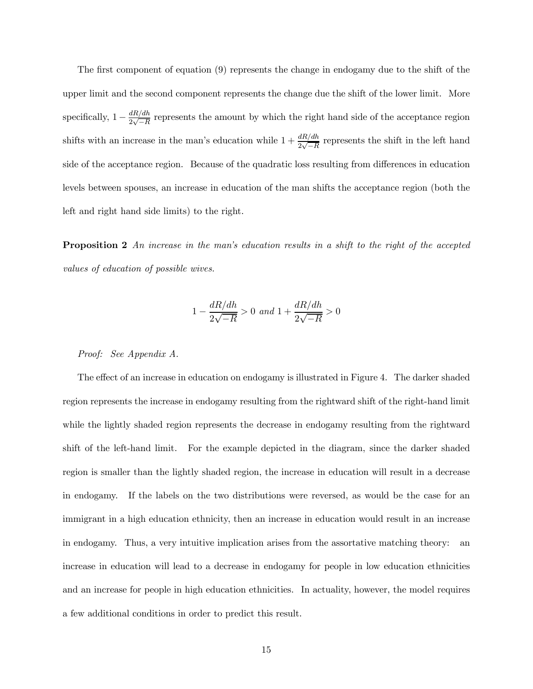The first component of equation (9) represents the change in endogamy due to the shift of the upper limit and the second component represents the change due the shift of the lower limit. More specifically,  $1 - \frac{dR/dh}{2\sqrt{-R}}$  represents the amount by which the right hand side of the acceptance region shifts with an increase in the man's education while  $1 + \frac{dR/dh}{2\sqrt{-R}}$  represents the shift in the left hand side of the acceptance region. Because of the quadratic loss resulting from differences in education levels between spouses, an increase in education of the man shifts the acceptance region (both the left and right hand side limits) to the right.

**Proposition 2** An increase in the man's education results in a shift to the right of the accepted values of education of possible wives.

$$
1 - \frac{dR/dh}{2\sqrt{-R}} > 0 \text{ and } 1 + \frac{dR/dh}{2\sqrt{-R}} > 0
$$

#### Proof: See Appendix A.

The effect of an increase in education on endogamy is illustrated in Figure 4. The darker shaded region represents the increase in endogamy resulting from the rightward shift of the right-hand limit while the lightly shaded region represents the decrease in endogamy resulting from the rightward shift of the left-hand limit. For the example depicted in the diagram, since the darker shaded region is smaller than the lightly shaded region, the increase in education will result in a decrease in endogamy. If the labels on the two distributions were reversed, as would be the case for an immigrant in a high education ethnicity, then an increase in education would result in an increase in endogamy. Thus, a very intuitive implication arises from the assortative matching theory: an increase in education will lead to a decrease in endogamy for people in low education ethnicities and an increase for people in high education ethnicities. In actuality, however, the model requires a few additional conditions in order to predict this result.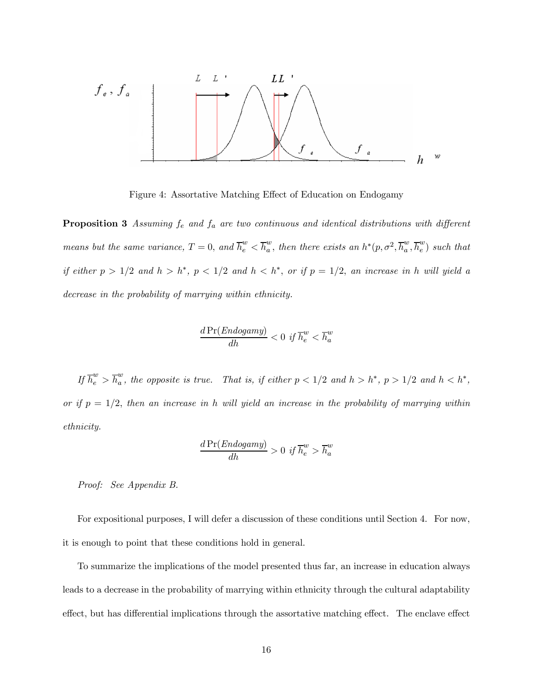

Figure 4: Assortative Matching Effect of Education on Endogamy

**Proposition 3** Assuming  $f_e$  and  $f_a$  are two continuous and identical distributions with different means but the same variance,  $T = 0$ , and  $\overline{h}_{e}^{w} < \overline{h}_{a}^{w}$ , then there exists an  $h^{*}(p, \sigma^{2}, \overline{h}_{a}^{w}, \overline{h}_{e}^{w})$  such that if either  $p > 1/2$  and  $h > h<sup>*</sup>$ ,  $p < 1/2$  and  $h < h<sup>*</sup>$ , or if  $p = 1/2$ , an increase in h will yield a decrease in the probability of marrying within ethnicity.

$$
\frac{d\Pr(Endogamy)}{dh} < 0 \text{ if } \overline{h}_e^w < \overline{h}_a^w
$$

If  $\overline{h}_{e}^{w} > \overline{h}_{a}^{w}$ , the opposite is true. That is, if either  $p < 1/2$  and  $h > h^{*}$ ,  $p > 1/2$  and  $h < h^{*}$ , or if  $p = 1/2$ , then an increase in h will yield an increase in the probability of marrying within ethnicity.

$$
\frac{d\Pr(Endogamy)}{dh} > 0 \text{ if } \overline{h}_e^w > \overline{h}_a^w
$$

Proof: See Appendix B.

For expositional purposes, I will defer a discussion of these conditions until Section 4. For now, it is enough to point that these conditions hold in general.

To summarize the implications of the model presented thus far, an increase in education always leads to a decrease in the probability of marrying within ethnicity through the cultural adaptability effect, but has differential implications through the assortative matching effect. The enclave effect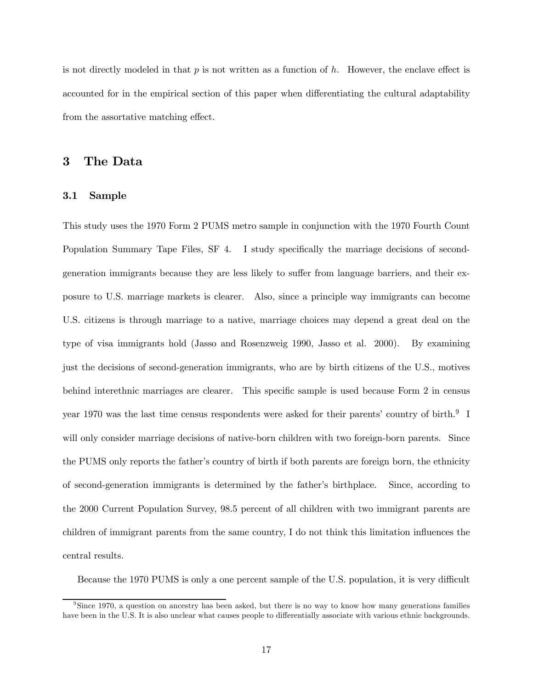is not directly modeled in that  $p$  is not written as a function of  $h$ . However, the enclave effect is accounted for in the empirical section of this paper when differentiating the cultural adaptability from the assortative matching effect.

#### 3 The Data

#### 3.1 Sample

This study uses the 1970 Form 2 PUMS metro sample in conjunction with the 1970 Fourth Count Population Summary Tape Files, SF 4. I study specifically the marriage decisions of secondgeneration immigrants because they are less likely to suffer from language barriers, and their exposure to U.S. marriage markets is clearer. Also, since a principle way immigrants can become U.S. citizens is through marriage to a native, marriage choices may depend a great deal on the type of visa immigrants hold (Jasso and Rosenzweig 1990, Jasso et al. 2000). By examining just the decisions of second-generation immigrants, who are by birth citizens of the U.S., motives behind interethnic marriages are clearer. This specific sample is used because Form 2 in census year 1970 was the last time census respondents were asked for their parents' country of birth.<sup>9</sup> I will only consider marriage decisions of native-born children with two foreign-born parents. Since the PUMS only reports the father's country of birth if both parents are foreign born, the ethnicity of second-generation immigrants is determined by the father's birthplace. Since, according to the 2000 Current Population Survey, 98.5 percent of all children with two immigrant parents are children of immigrant parents from the same country, I do not think this limitation influences the central results.

Because the 1970 PUMS is only a one percent sample of the U.S. population, it is very difficult

<sup>9</sup>Since 1970, a question on ancestry has been asked, but there is no way to know how many generations families have been in the U.S. It is also unclear what causes people to differentially associate with various ethnic backgrounds.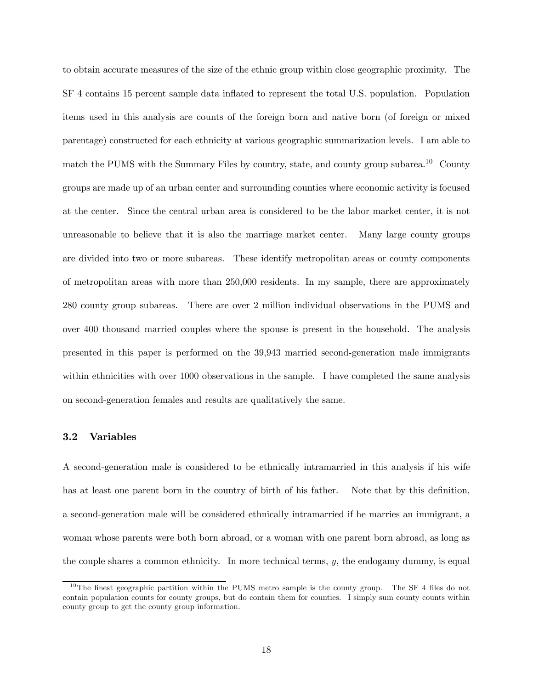to obtain accurate measures of the size of the ethnic group within close geographic proximity. The SF 4 contains 15 percent sample data inflated to represent the total U.S. population. Population items used in this analysis are counts of the foreign born and native born (of foreign or mixed parentage) constructed for each ethnicity at various geographic summarization levels. I am able to match the PUMS with the Summary Files by country, state, and county group subarea.<sup>10</sup> County groups are made up of an urban center and surrounding counties where economic activity is focused at the center. Since the central urban area is considered to be the labor market center, it is not unreasonable to believe that it is also the marriage market center. Many large county groups are divided into two or more subareas. These identify metropolitan areas or county components of metropolitan areas with more than 250,000 residents. In my sample, there are approximately 280 county group subareas. There are over 2 million individual observations in the PUMS and over 400 thousand married couples where the spouse is present in the household. The analysis presented in this paper is performed on the 39,943 married second-generation male immigrants within ethnicities with over 1000 observations in the sample. I have completed the same analysis on second-generation females and results are qualitatively the same.

#### 3.2 Variables

A second-generation male is considered to be ethnically intramarried in this analysis if his wife has at least one parent born in the country of birth of his father. Note that by this definition, a second-generation male will be considered ethnically intramarried if he marries an immigrant, a woman whose parents were both born abroad, or a woman with one parent born abroad, as long as the couple shares a common ethnicity. In more technical terms, y, the endogamy dummy, is equal

<sup>&</sup>lt;sup>10</sup>The finest geographic partition within the PUMS metro sample is the county group. The SF 4 files do not contain population counts for county groups, but do contain them for counties. I simply sum county counts within county group to get the county group information.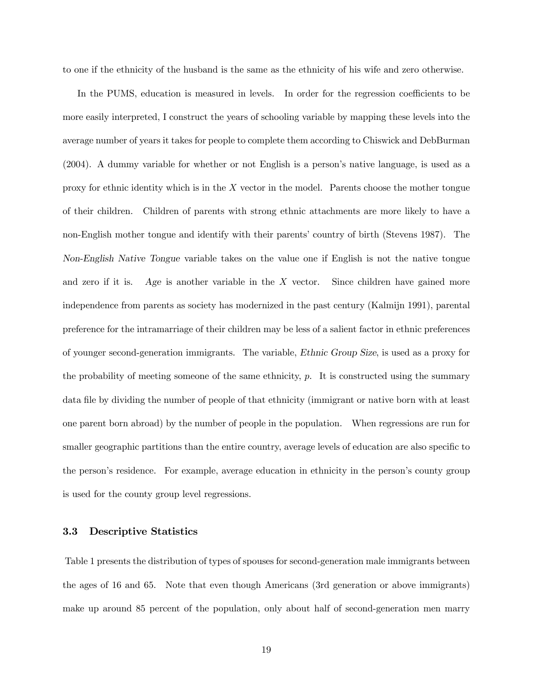to one if the ethnicity of the husband is the same as the ethnicity of his wife and zero otherwise.

In the PUMS, education is measured in levels. In order for the regression coefficients to be more easily interpreted, I construct the years of schooling variable by mapping these levels into the average number of years it takes for people to complete them according to Chiswick and DebBurman (2004). A dummy variable for whether or not English is a person's native language, is used as a proxy for ethnic identity which is in the  $X$  vector in the model. Parents choose the mother tongue of their children. Children of parents with strong ethnic attachments are more likely to have a non-English mother tongue and identify with their parents' country of birth (Stevens 1987). The Non-English Native Tongue variable takes on the value one if English is not the native tongue and zero if it is. Age is another variable in the  $X$  vector. Since children have gained more independence from parents as society has modernized in the past century (Kalmijn 1991), parental preference for the intramarriage of their children may be less of a salient factor in ethnic preferences of younger second-generation immigrants. The variable, Ethnic Group Size, is used as a proxy for the probability of meeting someone of the same ethnicity,  $p$ . It is constructed using the summary data file by dividing the number of people of that ethnicity (immigrant or native born with at least one parent born abroad) by the number of people in the population. When regressions are run for smaller geographic partitions than the entire country, average levels of education are also specific to the person's residence. For example, average education in ethnicity in the person's county group is used for the county group level regressions.

#### 3.3 Descriptive Statistics

Table 1 presents the distribution of types of spouses for second-generation male immigrants between the ages of 16 and 65. Note that even though Americans (3rd generation or above immigrants) make up around 85 percent of the population, only about half of second-generation men marry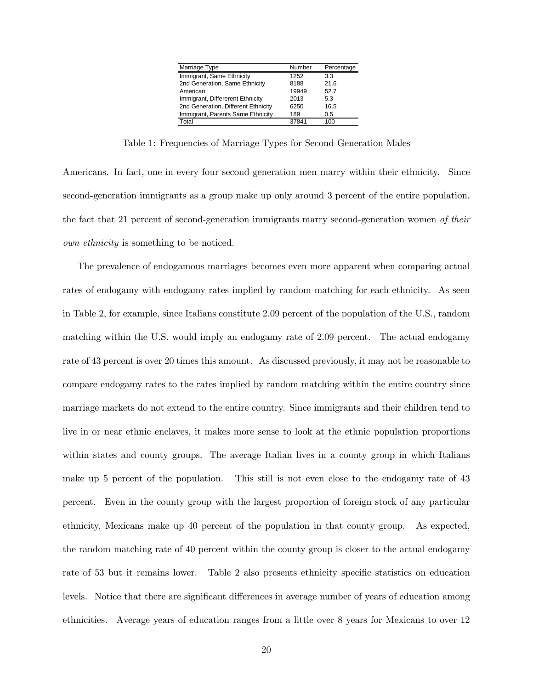| Marriage Type                       | Number | Percentage |
|-------------------------------------|--------|------------|
| Immigrant, Same Ethnicity           | 1252   | 33         |
| 2nd Generation, Same Ethnicity      | 8188   | 216        |
| American                            | 19949  | 52.7       |
| Immigrant, Differerent Ethnicity    | 2013   | 5.3        |
| 2nd Generation, Different Ethnicity | 6250   | 16.5       |
| Immigrant, Parents Same Ethnicity   | 189    | 0.5        |
| Total                               | 37841  | 100        |
|                                     |        |            |

Table 1: Frequencies of Marriage Types for Second-Generation Males

Americans. In fact, one in every four second-generation men marry within their ethnicity. Since second-generation immigrants as a group make up only around 3 percent of the entire population, the fact that 21 percent of second-generation immigrants marry second-generation women of their own ethnicity is something to be noticed.

The prevalence of endogamous marriages becomes even more apparent when comparing actual rates of endogamy with endogamy rates implied by random matching for each ethnicity. As seen in Table 2, for example, since Italians constitute 2.09 percent of the population of the U.S., random matching within the U.S. would imply an endogamy rate of 2.09 percent. The actual endogamy rate of 43 percent is over 20 times this amount. As discussed previously, it may not be reasonable to compare endogamy rates to the rates implied by random matching within the entire country since marriage markets do not extend to the entire country. Since immigrants and their children tend to live in or near ethnic enclaves, it makes more sense to look at the ethnic population proportions within states and county groups. The average Italian lives in a county group in which Italians make up 5 percent of the population. This still is not even close to the endogamy rate of 43 percent. Even in the county group with the largest proportion of foreign stock of any particular ethnicity, Mexicans make up 40 percent of the population in that county group. As expected, the random matching rate of 40 percent within the county group is closer to the actual endogamy rate of 53 but it remains lower. Table 2 also presents ethnicity specific statistics on education levels. Notice that there are significant differences in average number of years of education among ethnicities. Average years of education ranges from a little over 8 years for Mexicans to over 12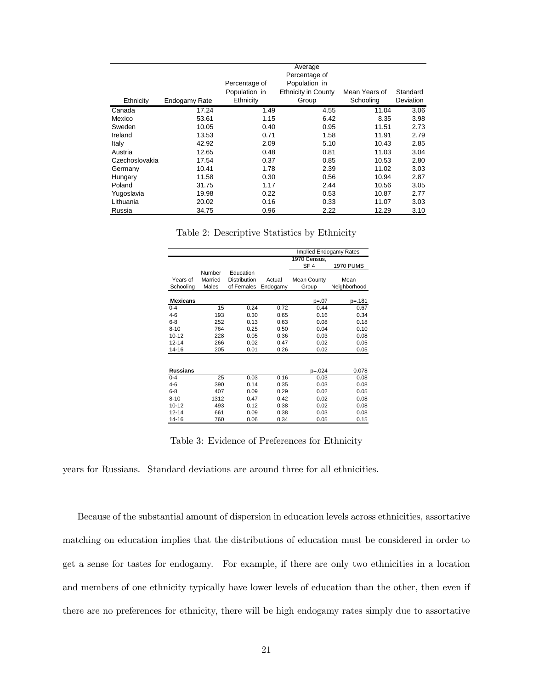| Ethnicity      | Endogamy Rate | Percentage of<br>Population in<br>Ethnicity | Average<br>Percentage of<br>Population in<br><b>Ethnicity in County</b><br>Group | Mean Years of<br>Schooling | Standard<br>Deviation |
|----------------|---------------|---------------------------------------------|----------------------------------------------------------------------------------|----------------------------|-----------------------|
| Canada         | 17.24         | 1.49                                        | 4.55                                                                             | 11.04                      | 3.06                  |
| Mexico         | 53.61         | 1.15                                        | 6.42                                                                             | 8.35                       | 3.98                  |
| Sweden         | 10.05         | 0.40                                        | 0.95                                                                             | 11.51                      | 2.73                  |
| Ireland        | 13.53         | 0.71                                        | 1.58                                                                             | 11.91                      | 2.79                  |
| Italy          | 42.92         | 2.09                                        | 5.10                                                                             | 10.43                      | 2.85                  |
| Austria        | 12.65         | 0.48                                        | 0.81                                                                             | 11.03                      | 3.04                  |
| Czechoslovakia | 17.54         | 0.37                                        | 0.85                                                                             | 10.53                      | 2.80                  |
| Germany        | 10.41         | 1.78                                        | 2.39                                                                             | 11.02                      | 3.03                  |
| Hungary        | 11.58         | 0.30                                        | 0.56                                                                             | 10.94                      | 2.87                  |
| Poland         | 31.75         | 1.17                                        | 2.44                                                                             | 10.56                      | 3.05                  |
| Yugoslavia     | 19.98         | 0.22                                        | 0.53                                                                             | 10.87                      | 2.77                  |
| Lithuania      | 20.02         | 0.16                                        | 0.33                                                                             | 11.07                      | 3.03                  |
| Russia         | 34.75         | 0.96                                        | 2.22                                                                             | 12.29                      | 3.10                  |

Table 2: Descriptive Statistics by Ethnicity

|                 |         |              |          | Implied Endogamy Rates |                  |
|-----------------|---------|--------------|----------|------------------------|------------------|
|                 |         |              |          | 1970 Census,           |                  |
|                 |         |              |          | SF <sub>4</sub>        | <b>1970 PUMS</b> |
|                 | Number  | Education    |          |                        |                  |
| Years of        | Married | Distribution | Actual   | <b>Mean County</b>     | Mean             |
| Schooling       | Males   | of Females   | Endogamy | Group                  | Neighborhood     |
|                 |         |              |          |                        |                  |
| <b>Mexicans</b> |         |              |          | p=.07                  | p=.181           |
| $0 - 4$         | 15      | 0.24         | 0.72     | 0.44                   | 0.67             |
| $4-6$           | 193     | 0.30         | 0.65     | 0.16                   | 0.34             |
| $6 - 8$         | 252     | 0.13         | 0.63     | 0.08                   | 0.18             |
| $8 - 10$        | 764     | 0.25         | 0.50     | 0.04                   | 0.10             |
| $10 - 12$       | 228     | 0.05         | 0.36     | 0.03                   | 0.08             |
| $12 - 14$       | 266     | 0.02         | 0.47     | 0.02                   | 0.05             |
| 14-16           | 205     | 0.01         | 0.26     | 0.02                   | 0.05             |
|                 |         |              |          |                        |                  |
|                 |         |              |          |                        |                  |
| <b>Russians</b> |         |              |          | $p = 0.024$            | 0.078            |
| $0 - 4$         | 25      | 0.03         | 0.16     | 0.03                   | 0.08             |
| $4-6$           | 390     | 0.14         | 0.35     | 0.03                   | 0.08             |
| $6 - 8$         | 407     | 0.09         | 0.29     | 0.02                   | 0.05             |
| $8 - 10$        | 1312    | 0.47         | 0.42     | 0.02                   | 0.08             |
| $10 - 12$       | 493     | 0.12         | 0.38     | 0.02                   | 0.08             |
| $12 - 14$       | 661     | 0.09         | 0.38     | 0.03                   | 0.08             |
| 14-16           | 760     | 0.06         | 0.34     | 0.05                   | 0.15             |

Table 3: Evidence of Preferences for Ethnicity

years for Russians. Standard deviations are around three for all ethnicities.

Because of the substantial amount of dispersion in education levels across ethnicities, assortative matching on education implies that the distributions of education must be considered in order to get a sense for tastes for endogamy. For example, if there are only two ethnicities in a location and members of one ethnicity typically have lower levels of education than the other, then even if there are no preferences for ethnicity, there will be high endogamy rates simply due to assortative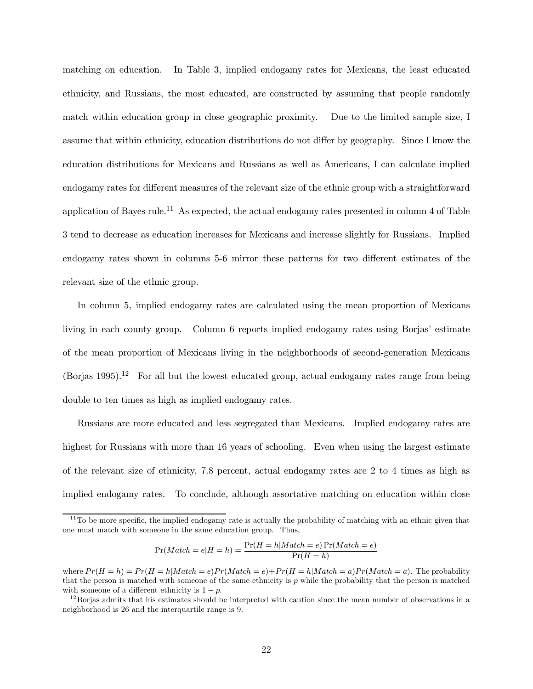matching on education. In Table 3, implied endogamy rates for Mexicans, the least educated ethnicity, and Russians, the most educated, are constructed by assuming that people randomly match within education group in close geographic proximity. Due to the limited sample size, I assume that within ethnicity, education distributions do not differ by geography. Since I know the education distributions for Mexicans and Russians as well as Americans, I can calculate implied endogamy rates for different measures of the relevant size of the ethnic group with a straightforward application of Bayes rule.11 As expected, the actual endogamy rates presented in column 4 of Table 3 tend to decrease as education increases for Mexicans and increase slightly for Russians. Implied endogamy rates shown in columns 5-6 mirror these patterns for two different estimates of the relevant size of the ethnic group.

In column 5, implied endogamy rates are calculated using the mean proportion of Mexicans living in each county group. Column 6 reports implied endogamy rates using Borjas' estimate of the mean proportion of Mexicans living in the neighborhoods of second-generation Mexicans  $(Bor$ ias 1995).<sup>12</sup> For all but the lowest educated group, actual endogamy rates range from being double to ten times as high as implied endogamy rates.

Russians are more educated and less segregated than Mexicans. Implied endogamy rates are highest for Russians with more than 16 years of schooling. Even when using the largest estimate of the relevant size of ethnicity, 7.8 percent, actual endogamy rates are 2 to 4 times as high as implied endogamy rates. To conclude, although assortative matching on education within close

$$
Pr(Match = e|H = h) = \frac{Pr(H = h|Match = e)Pr(Match = e)}{Pr(H = h)}
$$

 $11$ To be more specific, the implied endogamy rate is actually the probability of matching with an ethnic given that one must match with someone in the same education group. Thus,

where  $Pr(H = h) = Pr(H = h|Match = e)Pr(Match = e) + Pr(H = h|Match = a)Pr(Match = a)$ . The probability that the person is matched with someone of the same ethnicity is  $p$  while the probability that the person is matched with someone of a different ethnicity is  $1 - p$ .<br><sup>12</sup>Borjas admits that his estimates should be interpreted with caution since the mean number of observations in a

neighborhood is 26 and the interquartile range is 9.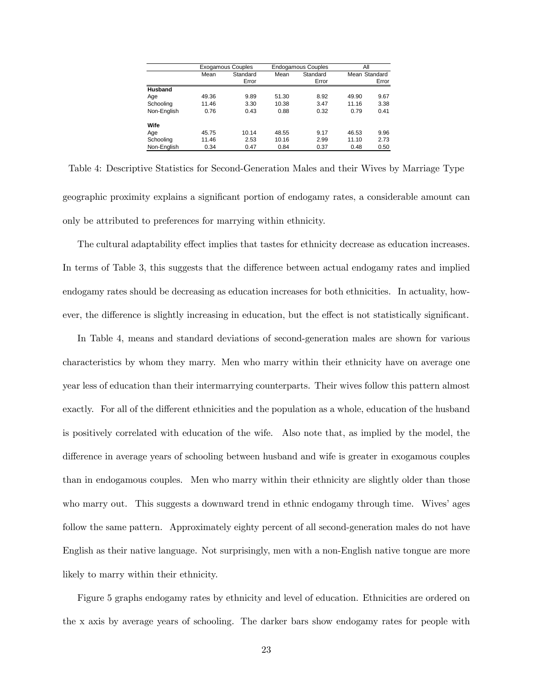|             |       | <b>Exogamous Couples</b> |       | <b>Endogamous Couples</b> |       | Αll           |  |  |
|-------------|-------|--------------------------|-------|---------------------------|-------|---------------|--|--|
|             | Mean  | Standard                 | Mean  | Standard                  |       | Mean Standard |  |  |
|             |       | Error                    |       | Error                     |       | Error         |  |  |
| Husband     |       |                          |       |                           |       |               |  |  |
| Age         | 49.36 | 9.89                     | 51.30 | 8.92                      | 49.90 | 9.67          |  |  |
| Schooling   | 11.46 | 3.30                     | 10.38 | 3.47                      | 11.16 | 3.38          |  |  |
| Non-English | 0.76  | 0.43                     | 0.88  | 0.32                      | 0.79  | 0.41          |  |  |
| Wife        |       |                          |       |                           |       |               |  |  |
| Age         | 45.75 | 10.14                    | 48.55 | 9.17                      | 46.53 | 9.96          |  |  |
| Schooling   | 11.46 | 2.53                     | 10.16 | 2.99                      | 11.10 | 2.73          |  |  |
| Non-English | 0.34  | 0.47                     | 0.84  | 0.37                      | 0.48  | 0.50          |  |  |

Table 4: Descriptive Statistics for Second-Generation Males and their Wives by Marriage Type geographic proximity explains a significant portion of endogamy rates, a considerable amount can only be attributed to preferences for marrying within ethnicity.

The cultural adaptability effect implies that tastes for ethnicity decrease as education increases. In terms of Table 3, this suggests that the difference between actual endogamy rates and implied endogamy rates should be decreasing as education increases for both ethnicities. In actuality, however, the difference is slightly increasing in education, but the effect is not statistically significant.

In Table 4, means and standard deviations of second-generation males are shown for various characteristics by whom they marry. Men who marry within their ethnicity have on average one year less of education than their intermarrying counterparts. Their wives follow this pattern almost exactly. For all of the different ethnicities and the population as a whole, education of the husband is positively correlated with education of the wife. Also note that, as implied by the model, the difference in average years of schooling between husband and wife is greater in exogamous couples than in endogamous couples. Men who marry within their ethnicity are slightly older than those who marry out. This suggests a downward trend in ethnic endogamy through time. Wives' ages follow the same pattern. Approximately eighty percent of all second-generation males do not have English as their native language. Not surprisingly, men with a non-English native tongue are more likely to marry within their ethnicity.

Figure 5 graphs endogamy rates by ethnicity and level of education. Ethnicities are ordered on the x axis by average years of schooling. The darker bars show endogamy rates for people with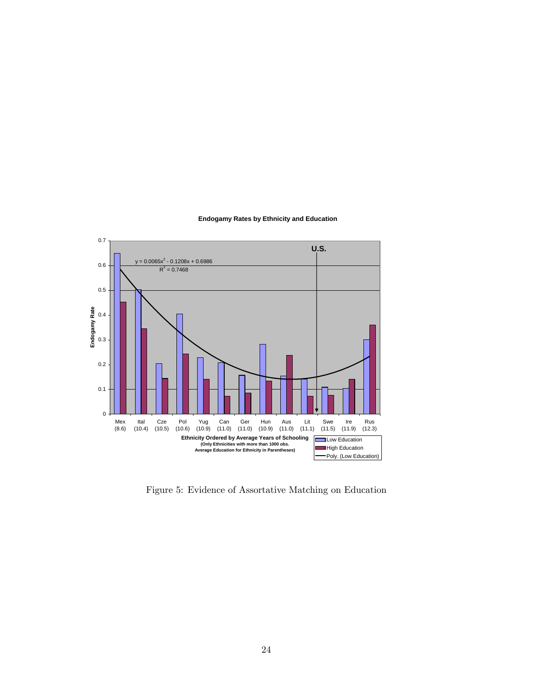

#### **Endogamy Rates by Ethnicity and Education**

Figure 5: Evidence of Assortative Matching on Education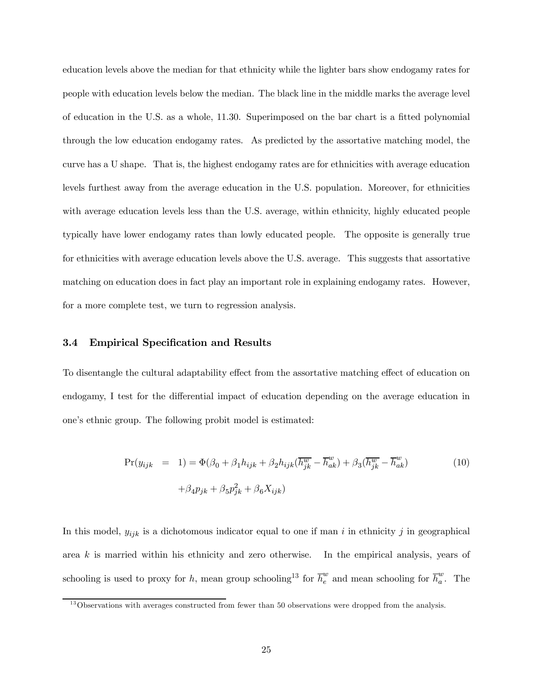education levels above the median for that ethnicity while the lighter bars show endogamy rates for people with education levels below the median. The black line in the middle marks the average level of education in the U.S. as a whole, 11.30. Superimposed on the bar chart is a fitted polynomial through the low education endogamy rates. As predicted by the assortative matching model, the curve has a U shape. That is, the highest endogamy rates are for ethnicities with average education levels furthest away from the average education in the U.S. population. Moreover, for ethnicities with average education levels less than the U.S. average, within ethnicity, highly educated people typically have lower endogamy rates than lowly educated people. The opposite is generally true for ethnicities with average education levels above the U.S. average. This suggests that assortative matching on education does in fact play an important role in explaining endogamy rates. However, for a more complete test, we turn to regression analysis.

#### 3.4 Empirical Specification and Results

To disentangle the cultural adaptability effect from the assortative matching effect of education on endogamy, I test for the differential impact of education depending on the average education in one's ethnic group. The following probit model is estimated:

$$
\Pr(y_{ijk} = 1) = \Phi(\beta_0 + \beta_1 h_{ijk} + \beta_2 h_{ijk} (\overline{h_{jk}^w} - \overline{h}_{ak}^w) + \beta_3 (\overline{h_{jk}^w} - \overline{h}_{ak}^w)
$$
  

$$
+ \beta_4 p_{jk} + \beta_5 p_{jk}^2 + \beta_6 X_{ijk})
$$
 (10)

In this model,  $y_{ijk}$  is a dichotomous indicator equal to one if man i in ethnicity j in geographical area  $k$  is married within his ethnicity and zero otherwise. In the empirical analysis, years of schooling is used to proxy for h, mean group schooling<sup>13</sup> for  $\overline{h}_{e}^{w}$  and mean schooling for  $\overline{h}_{a}^{w}$ . The

 $13$  Observations with averages constructed from fewer than 50 observations were dropped from the analysis.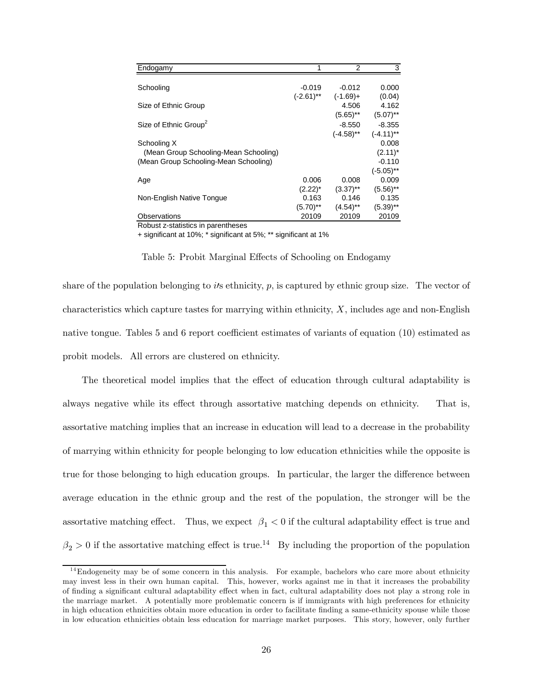| Endogamy                              |              | 2            | 3            |
|---------------------------------------|--------------|--------------|--------------|
|                                       |              |              |              |
| Schooling                             | $-0.019$     | $-0.012$     | 0.000        |
|                                       | $(-2.61)$ ** | $(-1.69) +$  | (0.04)       |
| Size of Ethnic Group                  |              | 4.506        | 4.162        |
|                                       |              | $(5.65)$ **  | $(5.07)$ **  |
| Size of Ethnic Group <sup>2</sup>     |              | $-8.550$     | $-8.355$     |
|                                       |              | $(-4.58)$ ** | $(-4.11)$ ** |
| Schooling X                           |              |              | 0.008        |
| (Mean Group Schooling-Mean Schooling) |              |              | $(2.11)^*$   |
| (Mean Group Schooling-Mean Schooling) |              |              | $-0.110$     |
|                                       |              |              | $(-5.05)$ ** |
| Age                                   | 0.006        | 0.008        | 0.009        |
|                                       | $(2.22)^*$   | $(3.37)$ **  | $(5.56)$ **  |
| Non-English Native Tongue             | 0.163        | 0.146        | 0.135        |
|                                       | $(5.70)$ **  | $(4.54)$ **  | $(5.39)$ **  |
| Observations                          | 20109        | 20109        | 20109        |

Robust z-statistics in parentheses

+ significant at 10%; \* significant at 5%; \*\* significant at 1%

Table 5: Probit Marginal Effects of Schooling on Endogamy

share of the population belonging to its ethnicity,  $p$ , is captured by ethnic group size. The vector of characteristics which capture tastes for marrying within ethnicity,  $X$ , includes age and non-English native tongue. Tables 5 and 6 report coefficient estimates of variants of equation (10) estimated as probit models. All errors are clustered on ethnicity.

The theoretical model implies that the effect of education through cultural adaptability is always negative while its effect through assortative matching depends on ethnicity. That is, assortative matching implies that an increase in education will lead to a decrease in the probability of marrying within ethnicity for people belonging to low education ethnicities while the opposite is true for those belonging to high education groups. In particular, the larger the difference between average education in the ethnic group and the rest of the population, the stronger will be the assortative matching effect. Thus, we expect  $\beta_1 < 0$  if the cultural adaptability effect is true and  $\beta_2 > 0$  if the assortative matching effect is true.<sup>14</sup> By including the proportion of the population

 $14$ Endogeneity may be of some concern in this analysis. For example, bachelors who care more about ethnicity may invest less in their own human capital. This, however, works against me in that it increases the probability of finding a significant cultural adaptability effect when in fact, cultural adaptability does not play a strong role in the marriage market. A potentially more problematic concern is if immigrants with high preferences for ethnicity in high education ethnicities obtain more education in order to facilitate finding a same-ethnicity spouse while those in low education ethnicities obtain less education for marriage market purposes. This story, however, only further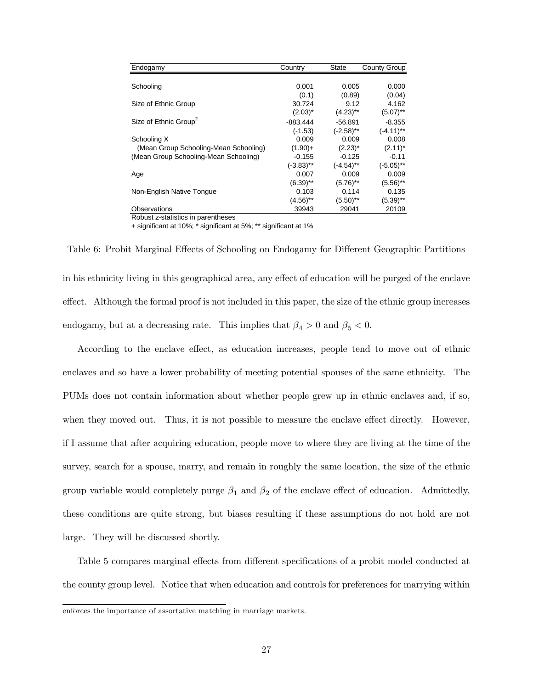| Endogamy                              | Country      | State        | County Group |
|---------------------------------------|--------------|--------------|--------------|
|                                       |              |              |              |
| Schooling                             | 0.001        | 0.005        | 0.000        |
|                                       | (0.1)        | (0.89)       | (0.04)       |
| Size of Ethnic Group                  | 30.724       | 9.12         | 4.162        |
|                                       | $(2.03)^*$   | $(4.23)$ **  | $(5.07)$ **  |
| Size of Ethnic Group <sup>2</sup>     | $-883.444$   | $-56.891$    | $-8.355$     |
|                                       | $(-1.53)$    | $(-2.58)$ ** | $(-4.11)$ ** |
| Schooling X                           | 0.009        | 0.009        | 0.008        |
| (Mean Group Schooling-Mean Schooling) | $(1.90)+$    | $(2.23)^*$   | $(2.11)^*$   |
| (Mean Group Schooling-Mean Schooling) | $-0.155$     | $-0.125$     | $-0.11$      |
|                                       | $(-3.83)$ ** | $(-4.54)$ ** | $(-5.05)$ ** |
| Age                                   | 0.007        | 0.009        | 0.009        |
|                                       | $(6.39)$ **  | $(5.76)$ **  | $(5.56)$ **  |
| Non-English Native Tongue             | 0.103        | 0.114        | 0.135        |
|                                       | $(4.56)$ **  | $(5.50)$ **  | $(5.39)$ **  |
| Observations                          | 39943        | 29041        | 20109        |

Robust z-statistics in parentheses

+ significant at 10%; \* significant at 5%; \*\* significant at 1%

Table 6: Probit Marginal Effects of Schooling on Endogamy for Different Geographic Partitions in his ethnicity living in this geographical area, any effect of education will be purged of the enclave effect. Although the formal proof is not included in this paper, the size of the ethnic group increases endogamy, but at a decreasing rate. This implies that  $\beta_4 > 0$  and  $\beta_5 < 0$ .

According to the enclave effect, as education increases, people tend to move out of ethnic enclaves and so have a lower probability of meeting potential spouses of the same ethnicity. The PUMs does not contain information about whether people grew up in ethnic enclaves and, if so, when they moved out. Thus, it is not possible to measure the enclave effect directly. However, if I assume that after acquiring education, people move to where they are living at the time of the survey, search for a spouse, marry, and remain in roughly the same location, the size of the ethnic group variable would completely purge  $\beta_1$  and  $\beta_2$  of the enclave effect of education. Admittedly, these conditions are quite strong, but biases resulting if these assumptions do not hold are not large. They will be discussed shortly.

Table 5 compares marginal effects from different specifications of a probit model conducted at the county group level. Notice that when education and controls for preferences for marrying within

enforces the importance of assortative matching in marriage markets.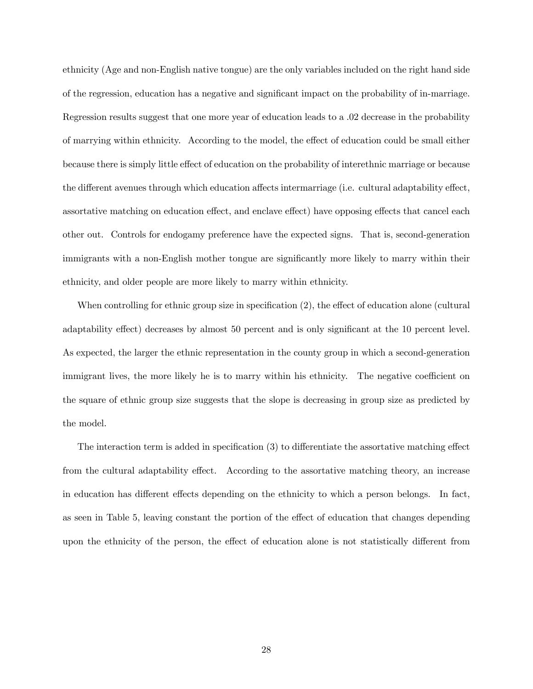ethnicity (Age and non-English native tongue) are the only variables included on the right hand side of the regression, education has a negative and significant impact on the probability of in-marriage. Regression results suggest that one more year of education leads to a .02 decrease in the probability of marrying within ethnicity. According to the model, the effect of education could be small either because there is simply little effect of education on the probability of interethnic marriage or because the different avenues through which education affects intermarriage (i.e. cultural adaptability effect, assortative matching on education effect, and enclave effect) have opposing effects that cancel each other out. Controls for endogamy preference have the expected signs. That is, second-generation immigrants with a non-English mother tongue are significantly more likely to marry within their ethnicity, and older people are more likely to marry within ethnicity.

When controlling for ethnic group size in specification (2), the effect of education alone (cultural adaptability effect) decreases by almost 50 percent and is only significant at the 10 percent level. As expected, the larger the ethnic representation in the county group in which a second-generation immigrant lives, the more likely he is to marry within his ethnicity. The negative coefficient on the square of ethnic group size suggests that the slope is decreasing in group size as predicted by the model.

The interaction term is added in specification (3) to differentiate the assortative matching effect from the cultural adaptability effect. According to the assortative matching theory, an increase in education has different effects depending on the ethnicity to which a person belongs. In fact, as seen in Table 5, leaving constant the portion of the effect of education that changes depending upon the ethnicity of the person, the effect of education alone is not statistically different from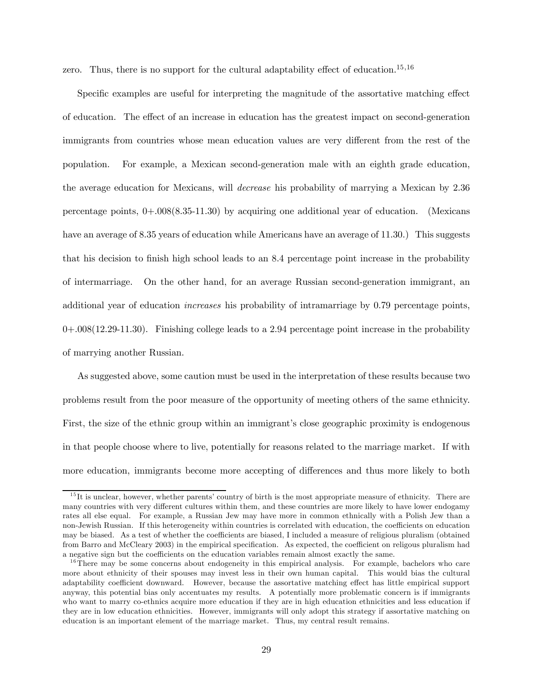zero. Thus, there is no support for the cultural adaptability effect of education.<sup>15,16</sup>

Specific examples are useful for interpreting the magnitude of the assortative matching effect of education. The effect of an increase in education has the greatest impact on second-generation immigrants from countries whose mean education values are very different from the rest of the population. For example, a Mexican second-generation male with an eighth grade education, the average education for Mexicans, will decrease his probability of marrying a Mexican by 2.36 percentage points,  $0+.008(8.35-11.30)$  by acquiring one additional year of education. (Mexicans have an average of 8.35 years of education while Americans have an average of 11.30.) This suggests that his decision to finish high school leads to an 8.4 percentage point increase in the probability of intermarriage. On the other hand, for an average Russian second-generation immigrant, an additional year of education increases his probability of intramarriage by 0.79 percentage points, 0+.008(12.29-11.30). Finishing college leads to a 2.94 percentage point increase in the probability of marrying another Russian.

As suggested above, some caution must be used in the interpretation of these results because two problems result from the poor measure of the opportunity of meeting others of the same ethnicity. First, the size of the ethnic group within an immigrant's close geographic proximity is endogenous in that people choose where to live, potentially for reasons related to the marriage market. If with more education, immigrants become more accepting of differences and thus more likely to both

<sup>&</sup>lt;sup>15</sup>It is unclear, however, whether parents' country of birth is the most appropriate measure of ethnicity. There are many countries with very different cultures within them, and these countries are more likely to have lower endogamy rates all else equal. For example, a Russian Jew may have more in common ethnically with a Polish Jew than a non-Jewish Russian. If this heterogeneity within countries is correlated with education, the coefficients on education may be biased. As a test of whether the coefficients are biased, I included a measure of religious pluralism (obtained from Barro and McCleary 2003) in the empirical specification. As expected, the coefficient on religous pluralism had a negative sign but the coefficients on the education variables remain almost exactly the same.

 $16$ There may be some concerns about endogeneity in this empirical analysis. For example, bachelors who care more about ethnicity of their spouses may invest less in their own human capital. This would bias the cultural adaptability coefficient downward. However, because the assortative matching effect has little empirical support anyway, this potential bias only accentuates my results. A potentially more problematic concern is if immigrants who want to marry co-ethnics acquire more education if they are in high education ethnicities and less education if they are in low education ethnicities. However, immigrants will only adopt this strategy if assortative matching on education is an important element of the marriage market. Thus, my central result remains.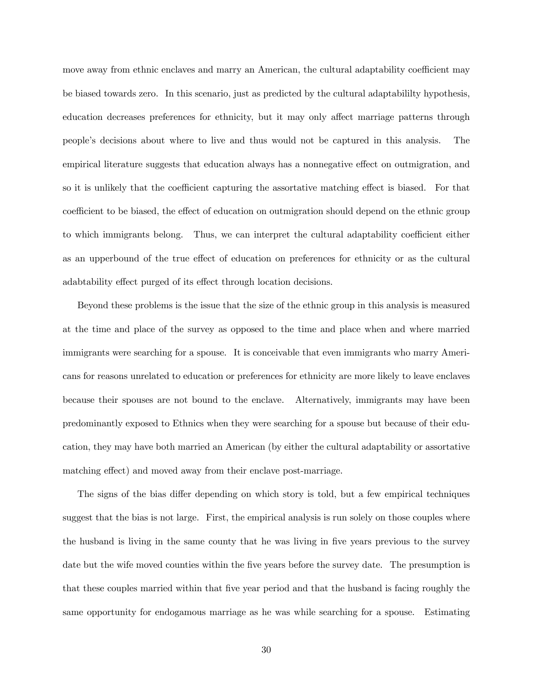move away from ethnic enclaves and marry an American, the cultural adaptability coefficient may be biased towards zero. In this scenario, just as predicted by the cultural adaptabililty hypothesis, education decreases preferences for ethnicity, but it may only affect marriage patterns through people's decisions about where to live and thus would not be captured in this analysis. The empirical literature suggests that education always has a nonnegative effect on outmigration, and so it is unlikely that the coefficient capturing the assortative matching effect is biased. For that coefficient to be biased, the effect of education on outmigration should depend on the ethnic group to which immigrants belong. Thus, we can interpret the cultural adaptability coefficient either as an upperbound of the true effect of education on preferences for ethnicity or as the cultural adabtability effect purged of its effect through location decisions.

Beyond these problems is the issue that the size of the ethnic group in this analysis is measured at the time and place of the survey as opposed to the time and place when and where married immigrants were searching for a spouse. It is conceivable that even immigrants who marry Americans for reasons unrelated to education or preferences for ethnicity are more likely to leave enclaves because their spouses are not bound to the enclave. Alternatively, immigrants may have been predominantly exposed to Ethnics when they were searching for a spouse but because of their education, they may have both married an American (by either the cultural adaptability or assortative matching effect) and moved away from their enclave post-marriage.

The signs of the bias differ depending on which story is told, but a few empirical techniques suggest that the bias is not large. First, the empirical analysis is run solely on those couples where the husband is living in the same county that he was living in five years previous to the survey date but the wife moved counties within the five years before the survey date. The presumption is that these couples married within that five year period and that the husband is facing roughly the same opportunity for endogamous marriage as he was while searching for a spouse. Estimating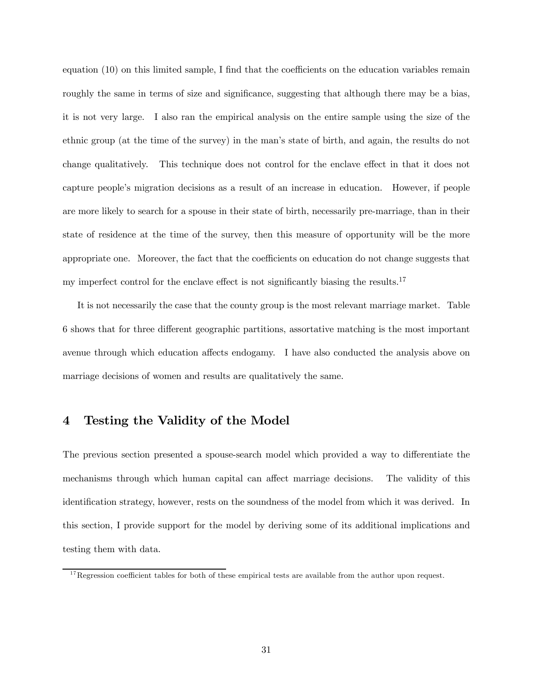equation (10) on this limited sample, I find that the coefficients on the education variables remain roughly the same in terms of size and significance, suggesting that although there may be a bias, it is not very large. I also ran the empirical analysis on the entire sample using the size of the ethnic group (at the time of the survey) in the man's state of birth, and again, the results do not change qualitatively. This technique does not control for the enclave effect in that it does not capture people's migration decisions as a result of an increase in education. However, if people are more likely to search for a spouse in their state of birth, necessarily pre-marriage, than in their state of residence at the time of the survey, then this measure of opportunity will be the more appropriate one. Moreover, the fact that the coefficients on education do not change suggests that my imperfect control for the enclave effect is not significantly biasing the results.<sup>17</sup>

It is not necessarily the case that the county group is the most relevant marriage market. Table 6 shows that for three different geographic partitions, assortative matching is the most important avenue through which education affects endogamy. I have also conducted the analysis above on marriage decisions of women and results are qualitatively the same.

#### 4 Testing the Validity of the Model

The previous section presented a spouse-search model which provided a way to differentiate the mechanisms through which human capital can affect marriage decisions. The validity of this identification strategy, however, rests on the soundness of the model from which it was derived. In this section, I provide support for the model by deriving some of its additional implications and testing them with data.

 $17$ Regression coefficient tables for both of these empirical tests are available from the author upon request.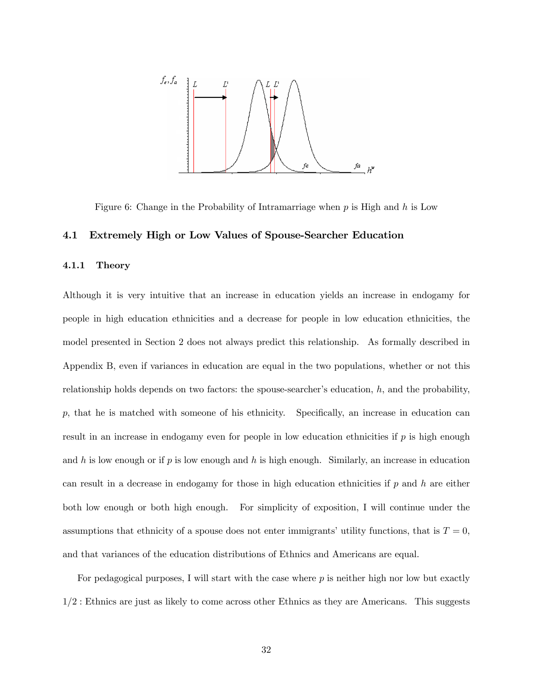

Figure 6: Change in the Probability of Intramarriage when  $p$  is High and  $h$  is Low

#### 4.1 Extremely High or Low Values of Spouse-Searcher Education

#### 4.1.1 Theory

Although it is very intuitive that an increase in education yields an increase in endogamy for people in high education ethnicities and a decrease for people in low education ethnicities, the model presented in Section 2 does not always predict this relationship. As formally described in Appendix B, even if variances in education are equal in the two populations, whether or not this relationship holds depends on two factors: the spouse-searcher's education,  $h$ , and the probability, p, that he is matched with someone of his ethnicity. Specifically, an increase in education can result in an increase in endogamy even for people in low education ethnicities if  $p$  is high enough and h is low enough or if  $p$  is low enough and h is high enough. Similarly, an increase in education can result in a decrease in endogamy for those in high education ethnicities if  $p$  and  $h$  are either both low enough or both high enough. For simplicity of exposition, I will continue under the assumptions that ethnicity of a spouse does not enter immigrants' utility functions, that is  $T = 0$ , and that variances of the education distributions of Ethnics and Americans are equal.

For pedagogical purposes, I will start with the case where  $p$  is neither high nor low but exactly  $1/2$ : Ethnics are just as likely to come across other Ethnics as they are Americans. This suggests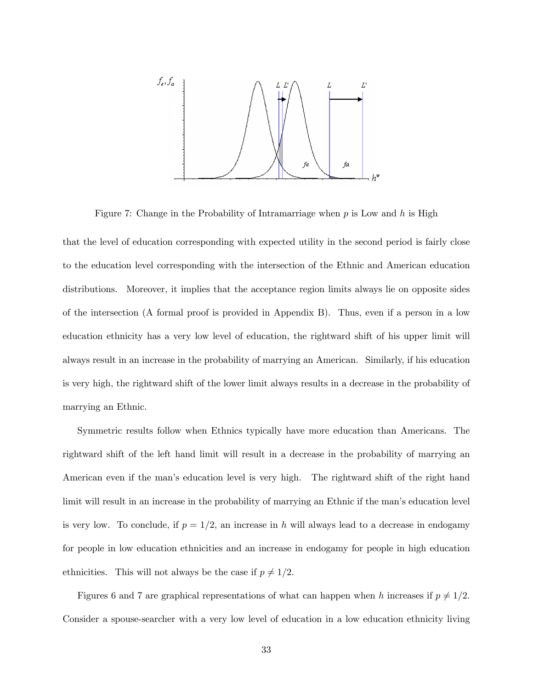

Figure 7: Change in the Probability of Intramarriage when  $p$  is Low and  $h$  is High

that the level of education corresponding with expected utility in the second period is fairly close to the education level corresponding with the intersection of the Ethnic and American education distributions. Moreover, it implies that the acceptance region limits always lie on opposite sides of the intersection (A formal proof is provided in Appendix B). Thus, even if a person in a low education ethnicity has a very low level of education, the rightward shift of his upper limit will always result in an increase in the probability of marrying an American. Similarly, if his education is very high, the rightward shift of the lower limit always results in a decrease in the probability of marrying an Ethnic.

Symmetric results follow when Ethnics typically have more education than Americans. The rightward shift of the left hand limit will result in a decrease in the probability of marrying an American even if the man's education level is very high. The rightward shift of the right hand limit will result in an increase in the probability of marrying an Ethnic if the man's education level is very low. To conclude, if  $p = 1/2$ , an increase in h will always lead to a decrease in endogamy for people in low education ethnicities and an increase in endogamy for people in high education ethnicities. This will not always be the case if  $p \neq 1/2$ .

Figures 6 and 7 are graphical representations of what can happen when h increases if  $p \neq 1/2$ . Consider a spouse-searcher with a very low level of education in a low education ethnicity living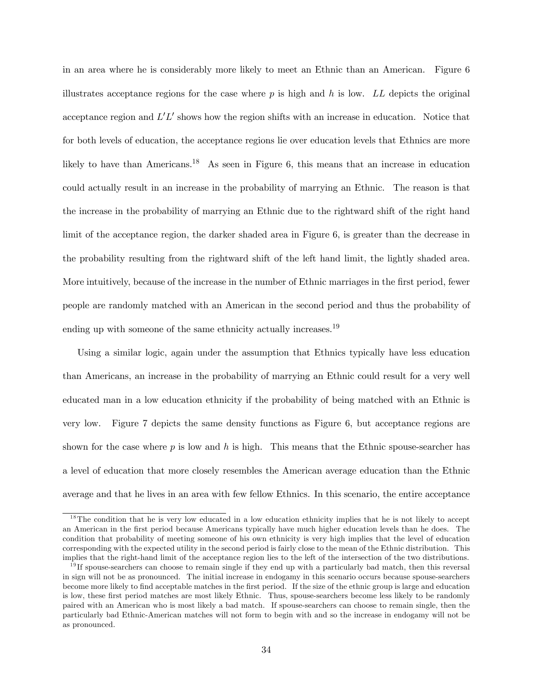in an area where he is considerably more likely to meet an Ethnic than an American. Figure 6 illustrates acceptance regions for the case where  $p$  is high and  $h$  is low. LL depicts the original acceptance region and  $L'L'$  shows how the region shifts with an increase in education. Notice that for both levels of education, the acceptance regions lie over education levels that Ethnics are more likely to have than Americans.<sup>18</sup> As seen in Figure 6, this means that an increase in education could actually result in an increase in the probability of marrying an Ethnic. The reason is that the increase in the probability of marrying an Ethnic due to the rightward shift of the right hand limit of the acceptance region, the darker shaded area in Figure 6, is greater than the decrease in the probability resulting from the rightward shift of the left hand limit, the lightly shaded area. More intuitively, because of the increase in the number of Ethnic marriages in the first period, fewer people are randomly matched with an American in the second period and thus the probability of ending up with someone of the same ethnicity actually increases.<sup>19</sup>

Using a similar logic, again under the assumption that Ethnics typically have less education than Americans, an increase in the probability of marrying an Ethnic could result for a very well educated man in a low education ethnicity if the probability of being matched with an Ethnic is very low. Figure 7 depicts the same density functions as Figure 6, but acceptance regions are shown for the case where  $p$  is low and h is high. This means that the Ethnic spouse-searcher has a level of education that more closely resembles the American average education than the Ethnic average and that he lives in an area with few fellow Ethnics. In this scenario, the entire acceptance

 $1<sup>8</sup>$ The condition that he is very low educated in a low education ethnicity implies that he is not likely to accept an American in the first period because Americans typically have much higher education levels than he does. The condition that probability of meeting someone of his own ethnicity is very high implies that the level of education corresponding with the expected utility in the second period is fairly close to the mean of the Ethnic distribution. This implies that the right-hand limit of the acceptance region lies to the left of the intersection of the two distributions.

 $19$  If spouse-searchers can choose to remain single if they end up with a particularly bad match, then this reversal in sign will not be as pronounced. The initial increase in endogamy in this scenario occurs because spouse-searchers become more likely to find acceptable matches in the first period. If the size of the ethnic group is large and education is low, these first period matches are most likely Ethnic. Thus, spouse-searchers become less likely to be randomly paired with an American who is most likely a bad match. If spouse-searchers can choose to remain single, then the particularly bad Ethnic-American matches will not form to begin with and so the increase in endogamy will not be as pronounced.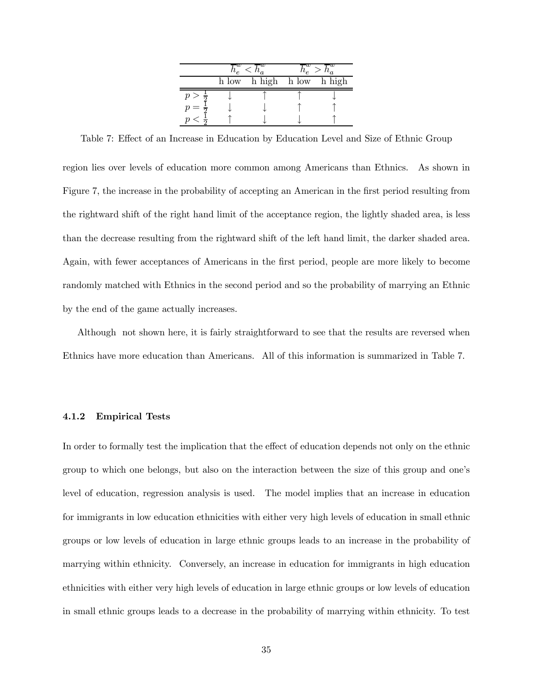|  | h low h high h low h high |  |
|--|---------------------------|--|
|  |                           |  |
|  |                           |  |
|  |                           |  |

Table 7: Effect of an Increase in Education by Education Level and Size of Ethnic Group

region lies over levels of education more common among Americans than Ethnics. As shown in Figure 7, the increase in the probability of accepting an American in the first period resulting from the rightward shift of the right hand limit of the acceptance region, the lightly shaded area, is less than the decrease resulting from the rightward shift of the left hand limit, the darker shaded area. Again, with fewer acceptances of Americans in the first period, people are more likely to become randomly matched with Ethnics in the second period and so the probability of marrying an Ethnic by the end of the game actually increases.

Although not shown here, it is fairly straightforward to see that the results are reversed when Ethnics have more education than Americans. All of this information is summarized in Table 7.

#### 4.1.2 Empirical Tests

In order to formally test the implication that the effect of education depends not only on the ethnic group to which one belongs, but also on the interaction between the size of this group and one's level of education, regression analysis is used. The model implies that an increase in education for immigrants in low education ethnicities with either very high levels of education in small ethnic groups or low levels of education in large ethnic groups leads to an increase in the probability of marrying within ethnicity. Conversely, an increase in education for immigrants in high education ethnicities with either very high levels of education in large ethnic groups or low levels of education in small ethnic groups leads to a decrease in the probability of marrying within ethnicity. To test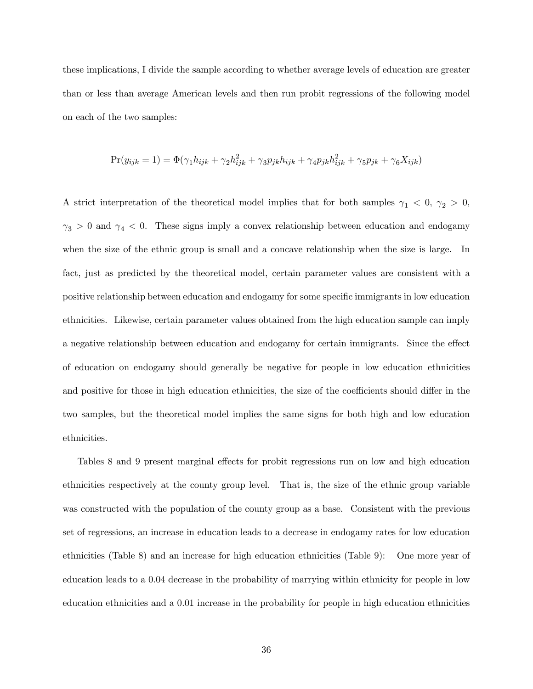these implications, I divide the sample according to whether average levels of education are greater than or less than average American levels and then run probit regressions of the following model on each of the two samples:

$$
Pr(y_{ijk} = 1) = \Phi(\gamma_1 h_{ijk} + \gamma_2 h_{ijk}^2 + \gamma_3 p_{jk} h_{ijk} + \gamma_4 p_{jk} h_{ijk}^2 + \gamma_5 p_{jk} + \gamma_6 X_{ijk})
$$

A strict interpretation of the theoretical model implies that for both samples  $\gamma_1$  < 0,  $\gamma_2$  > 0,  $\gamma_3 > 0$  and  $\gamma_4 < 0$ . These signs imply a convex relationship between education and endogamy when the size of the ethnic group is small and a concave relationship when the size is large. In fact, just as predicted by the theoretical model, certain parameter values are consistent with a positive relationship between education and endogamy for some specific immigrants in low education ethnicities. Likewise, certain parameter values obtained from the high education sample can imply a negative relationship between education and endogamy for certain immigrants. Since the effect of education on endogamy should generally be negative for people in low education ethnicities and positive for those in high education ethnicities, the size of the coefficients should differ in the two samples, but the theoretical model implies the same signs for both high and low education ethnicities.

Tables 8 and 9 present marginal effects for probit regressions run on low and high education ethnicities respectively at the county group level. That is, the size of the ethnic group variable was constructed with the population of the county group as a base. Consistent with the previous set of regressions, an increase in education leads to a decrease in endogamy rates for low education ethnicities (Table 8) and an increase for high education ethnicities (Table 9): One more year of education leads to a 0.04 decrease in the probability of marrying within ethnicity for people in low education ethnicities and a 0.01 increase in the probability for people in high education ethnicities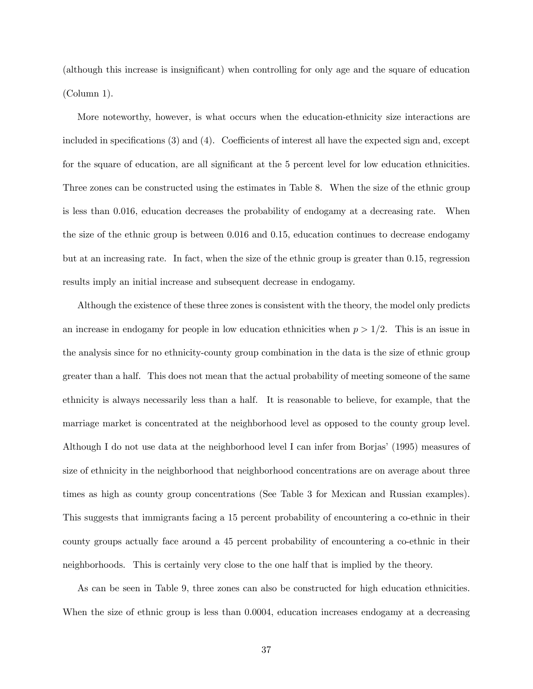(although this increase is insignificant) when controlling for only age and the square of education (Column 1).

More noteworthy, however, is what occurs when the education-ethnicity size interactions are included in specifications (3) and (4). Coefficients of interest all have the expected sign and, except for the square of education, are all significant at the 5 percent level for low education ethnicities. Three zones can be constructed using the estimates in Table 8. When the size of the ethnic group is less than 0.016, education decreases the probability of endogamy at a decreasing rate. When the size of the ethnic group is between 0.016 and 0.15, education continues to decrease endogamy but at an increasing rate. In fact, when the size of the ethnic group is greater than 0.15, regression results imply an initial increase and subsequent decrease in endogamy.

Although the existence of these three zones is consistent with the theory, the model only predicts an increase in endogamy for people in low education ethnicities when  $p > 1/2$ . This is an issue in the analysis since for no ethnicity-county group combination in the data is the size of ethnic group greater than a half. This does not mean that the actual probability of meeting someone of the same ethnicity is always necessarily less than a half. It is reasonable to believe, for example, that the marriage market is concentrated at the neighborhood level as opposed to the county group level. Although I do not use data at the neighborhood level I can infer from Borjas' (1995) measures of size of ethnicity in the neighborhood that neighborhood concentrations are on average about three times as high as county group concentrations (See Table 3 for Mexican and Russian examples). This suggests that immigrants facing a 15 percent probability of encountering a co-ethnic in their county groups actually face around a 45 percent probability of encountering a co-ethnic in their neighborhoods. This is certainly very close to the one half that is implied by the theory.

As can be seen in Table 9, three zones can also be constructed for high education ethnicities. When the size of ethnic group is less than 0.0004, education increases endogamy at a decreasing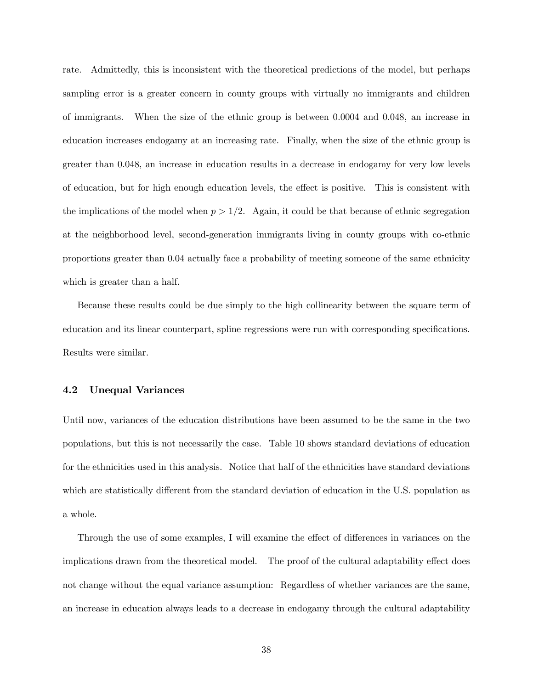rate. Admittedly, this is inconsistent with the theoretical predictions of the model, but perhaps sampling error is a greater concern in county groups with virtually no immigrants and children of immigrants. When the size of the ethnic group is between 0.0004 and 0.048, an increase in education increases endogamy at an increasing rate. Finally, when the size of the ethnic group is greater than 0.048, an increase in education results in a decrease in endogamy for very low levels of education, but for high enough education levels, the effect is positive. This is consistent with the implications of the model when  $p > 1/2$ . Again, it could be that because of ethnic segregation at the neighborhood level, second-generation immigrants living in county groups with co-ethnic proportions greater than 0.04 actually face a probability of meeting someone of the same ethnicity which is greater than a half.

Because these results could be due simply to the high collinearity between the square term of education and its linear counterpart, spline regressions were run with corresponding specifications. Results were similar.

#### 4.2 Unequal Variances

Until now, variances of the education distributions have been assumed to be the same in the two populations, but this is not necessarily the case. Table 10 shows standard deviations of education for the ethnicities used in this analysis. Notice that half of the ethnicities have standard deviations which are statistically different from the standard deviation of education in the U.S. population as a whole.

Through the use of some examples, I will examine the effect of differences in variances on the implications drawn from the theoretical model. The proof of the cultural adaptability effect does not change without the equal variance assumption: Regardless of whether variances are the same, an increase in education always leads to a decrease in endogamy through the cultural adaptability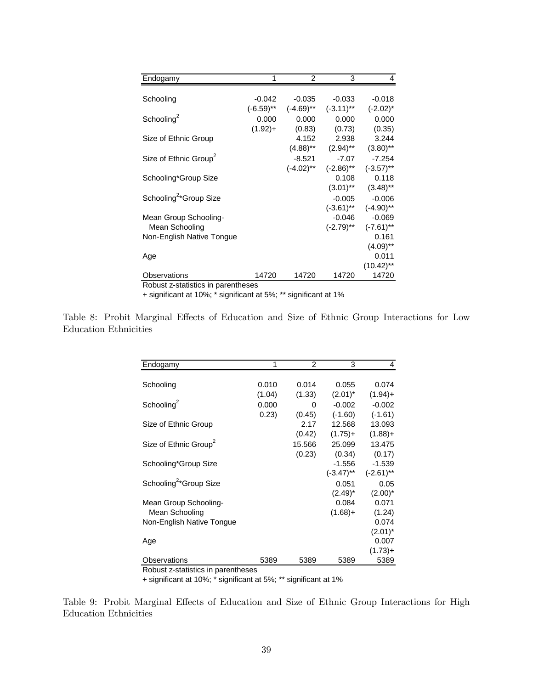| Endogamy                           |           | 2            | 3                      |                        |
|------------------------------------|-----------|--------------|------------------------|------------------------|
|                                    |           |              |                        |                        |
| Schooling                          | $-0.042$  | $-0.035$     | $-0.033$               | $-0.018$               |
|                                    | (-6.59)** | $(-4.69)$ ** | $(-3.11)$ **           | $(-2.02)^*$            |
| Schooling <sup>2</sup>             | 0.000     | 0.000        | 0.000                  | 0.000                  |
|                                    | $(1.92)+$ | (0.83)       | (0.73)                 | (0.35)                 |
| Size of Ethnic Group               |           | 4.152        | 2.938                  | 3.244                  |
|                                    |           | (4.88)**     | $(2.94)$ <sup>**</sup> | $(3.80)$ **            |
| Size of Ethnic Group <sup>2</sup>  |           | $-8.521$     | $-7.07$                | $-7.254$               |
|                                    |           | $(-4.02)$ ** | $(-2.86)$ **           | $(-3.57)$ **           |
| Schooling*Group Size               |           |              | 0.108                  | 0.118                  |
|                                    |           |              | $(3.01)$ **            | $(3.48)$ <sup>**</sup> |
| Schooling <sup>2*</sup> Group Size |           |              | $-0.005$               | $-0.006$               |
|                                    |           |              | $(-3.61)$ **           | $(-4.90)$ **           |
| Mean Group Schooling-              |           |              | $-0.046$               | $-0.069$               |
| Mean Schooling                     |           |              | $(-2.79)$ **           | $(-7.61)$ **           |
| Non-English Native Tongue          |           |              |                        | 0.161                  |
|                                    |           |              |                        | $(4.09)$ **            |
| Age                                |           |              |                        | 0.011                  |
|                                    |           |              |                        | $(10.42)$ **           |
| Observations                       | 14720     | 14720        | 14720                  | 14720                  |
| Robust z-statistics in parentheses |           |              |                        |                        |

+ significant at 10%; \* significant at 5%; \*\* significant at 1%

|                       |  |  |  |  |  | Table 8: Probit Marginal Effects of Education and Size of Ethnic Group Interactions for Low |  |
|-----------------------|--|--|--|--|--|---------------------------------------------------------------------------------------------|--|
| Education Ethnicities |  |  |  |  |  |                                                                                             |  |

| Endogamy                           |        | 2      | 3            | 4            |
|------------------------------------|--------|--------|--------------|--------------|
|                                    |        |        |              |              |
| Schooling                          | 0.010  | 0.014  | 0.055        | 0.074        |
|                                    | (1.04) | (1.33) | $(2.01)^*$   | $(1.94) +$   |
| Schooling <sup>2</sup>             | 0.000  | 0      | $-0.002$     | $-0.002$     |
|                                    | 0.23)  | (0.45) | $(-1.60)$    | $(-1.61)$    |
| Size of Ethnic Group               |        | 2.17   | 12.568       | 13.093       |
|                                    |        | (0.42) | $(1.75) +$   | $(1.88) +$   |
| Size of Ethnic Group <sup>2</sup>  |        | 15.566 | 25.099       | 13.475       |
|                                    |        | (0.23) | (0.34)       | (0.17)       |
| Schooling*Group Size               |        |        | $-1.556$     | $-1.539$     |
|                                    |        |        | $(-3.47)$ ** | $(-2.61)$ ** |
| Schooling <sup>2*</sup> Group Size |        |        | 0.051        | 0.05         |
|                                    |        |        | $(2.49)^*$   | $(2.00)^*$   |
| Mean Group Schooling-              |        |        | 0.084        | 0.071        |
| Mean Schooling                     |        |        | $(1.68) +$   | (1.24)       |
| Non-English Native Tongue          |        |        |              | 0.074        |
|                                    |        |        |              | (2.01)*      |
| Age                                |        |        |              | 0.007        |
|                                    |        |        |              | $(1.73)+$    |
| Observations                       | 5389   | 5389   | 5389         | 5389         |

Robust z-statistics in parentheses

+ significant at 10%; \* significant at 5%; \*\* significant at 1%

Table 9: Probit Marginal Effects of Education and Size of Ethnic Group Interactions for High Education Ethnicities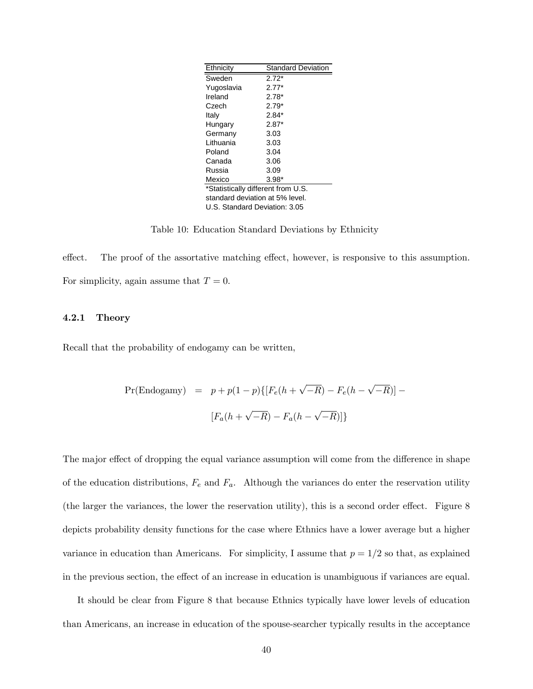| Ethnicity                          | <b>Standard Deviation</b> |  |  |  |  |
|------------------------------------|---------------------------|--|--|--|--|
| Sweden                             | $2.72*$                   |  |  |  |  |
| Yugoslavia                         | $2.77*$                   |  |  |  |  |
| Ireland                            | $2.78*$                   |  |  |  |  |
| Czech                              | $2.79*$                   |  |  |  |  |
| Italy                              | $2.84*$                   |  |  |  |  |
| Hungary                            | $2.87*$                   |  |  |  |  |
| Germany                            | 3.03                      |  |  |  |  |
| I ithuania                         | 3.03                      |  |  |  |  |
| Poland                             | 3.04                      |  |  |  |  |
| Canada                             | 3.06                      |  |  |  |  |
| Russia                             | 3.09                      |  |  |  |  |
| Mexico                             | $3.98*$                   |  |  |  |  |
| *Statistically different from U.S. |                           |  |  |  |  |
| standard deviation at 5% level.    |                           |  |  |  |  |
| U.S. Standard Deviation: 3.05      |                           |  |  |  |  |

Table 10: Education Standard Deviations by Ethnicity

effect. The proof of the assortative matching effect, however, is responsive to this assumption. For simplicity, again assume that  $T = 0$ .

#### 4.2.1 Theory

Recall that the probability of endogamy can be written,

$$
\Pr(\text{Endogamy}) = p + p(1-p)\{[F_e(h + \sqrt{-R}) - F_e(h - \sqrt{-R})] -
$$
  

$$
[F_a(h + \sqrt{-R}) - F_a(h - \sqrt{-R})]\}
$$

The major effect of dropping the equal variance assumption will come from the difference in shape of the education distributions,  $F_e$  and  $F_a$ . Although the variances do enter the reservation utility (the larger the variances, the lower the reservation utility), this is a second order effect. Figure 8 depicts probability density functions for the case where Ethnics have a lower average but a higher variance in education than Americans. For simplicity, I assume that  $p = 1/2$  so that, as explained in the previous section, the effect of an increase in education is unambiguous if variances are equal.

It should be clear from Figure 8 that because Ethnics typically have lower levels of education than Americans, an increase in education of the spouse-searcher typically results in the acceptance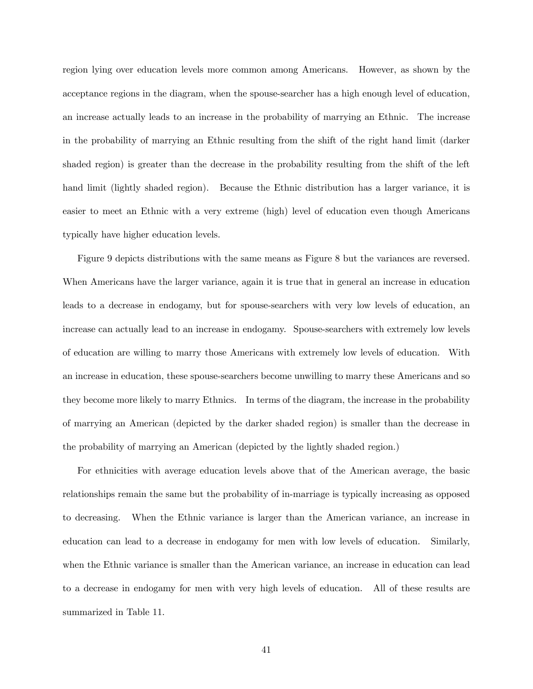region lying over education levels more common among Americans. However, as shown by the acceptance regions in the diagram, when the spouse-searcher has a high enough level of education, an increase actually leads to an increase in the probability of marrying an Ethnic. The increase in the probability of marrying an Ethnic resulting from the shift of the right hand limit (darker shaded region) is greater than the decrease in the probability resulting from the shift of the left hand limit (lightly shaded region). Because the Ethnic distribution has a larger variance, it is easier to meet an Ethnic with a very extreme (high) level of education even though Americans typically have higher education levels.

Figure 9 depicts distributions with the same means as Figure 8 but the variances are reversed. When Americans have the larger variance, again it is true that in general an increase in education leads to a decrease in endogamy, but for spouse-searchers with very low levels of education, an increase can actually lead to an increase in endogamy. Spouse-searchers with extremely low levels of education are willing to marry those Americans with extremely low levels of education. With an increase in education, these spouse-searchers become unwilling to marry these Americans and so they become more likely to marry Ethnics. In terms of the diagram, the increase in the probability of marrying an American (depicted by the darker shaded region) is smaller than the decrease in the probability of marrying an American (depicted by the lightly shaded region.)

For ethnicities with average education levels above that of the American average, the basic relationships remain the same but the probability of in-marriage is typically increasing as opposed to decreasing. When the Ethnic variance is larger than the American variance, an increase in education can lead to a decrease in endogamy for men with low levels of education. Similarly, when the Ethnic variance is smaller than the American variance, an increase in education can lead to a decrease in endogamy for men with very high levels of education. All of these results are summarized in Table 11.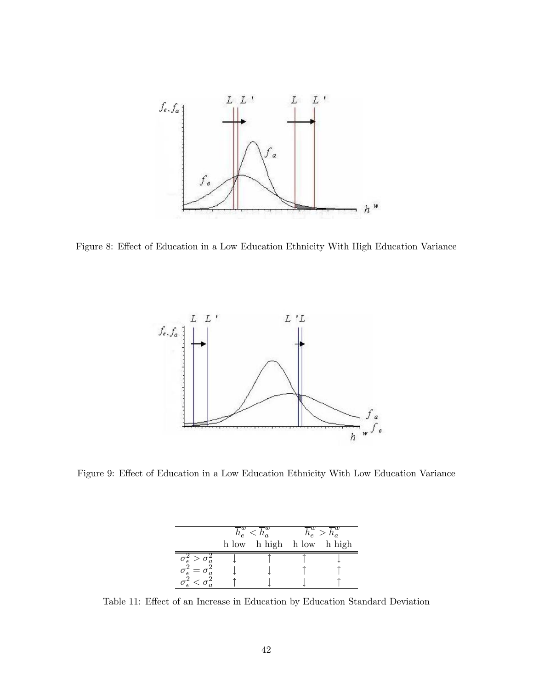

Figure 8: Effect of Education in a Low Education Ethnicity With High Education Variance



Figure 9: Effect of Education in a Low Education Ethnicity With Low Education Variance

|  | h low h high h low h high |  |
|--|---------------------------|--|
|  |                           |  |
|  |                           |  |
|  |                           |  |

Table 11: Effect of an Increase in Education by Education Standard Deviation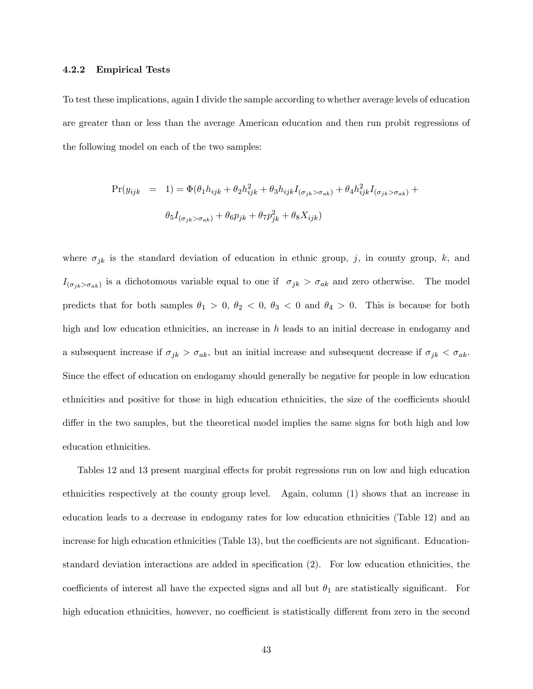#### 4.2.2 Empirical Tests

To test these implications, again I divide the sample according to whether average levels of education are greater than or less than the average American education and then run probit regressions of the following model on each of the two samples:

$$
\Pr(y_{ijk} = 1) = \Phi(\theta_1 h_{ijk} + \theta_2 h_{ijk}^2 + \theta_3 h_{ijk} I_{(\sigma_{jk} > \sigma_{ak})} + \theta_4 h_{ijk}^2 I_{(\sigma_{jk} > \sigma_{ak})} +
$$

$$
\theta_5 I_{(\sigma_{jk} > \sigma_{ak})} + \theta_6 p_{jk} + \theta_7 p_{jk}^2 + \theta_8 X_{ijk})
$$

where  $\sigma_{jk}$  is the standard deviation of education in ethnic group, j, in county group, k, and  $I_{(\sigma_{jk} > \sigma_{ak})}$  is a dichotomous variable equal to one if  $\sigma_{jk} > \sigma_{ak}$  and zero otherwise. The model predicts that for both samples  $\theta_1 > 0$ ,  $\theta_2 < 0$ ,  $\theta_3 < 0$  and  $\theta_4 > 0$ . This is because for both high and low education ethnicities, an increase in  $h$  leads to an initial decrease in endogamy and a subsequent increase if  $\sigma_{jk} > \sigma_{ak}$ , but an initial increase and subsequent decrease if  $\sigma_{jk} < \sigma_{ak}$ . Since the effect of education on endogamy should generally be negative for people in low education ethnicities and positive for those in high education ethnicities, the size of the coefficients should differ in the two samples, but the theoretical model implies the same signs for both high and low education ethnicities.

Tables 12 and 13 present marginal effects for probit regressions run on low and high education ethnicities respectively at the county group level. Again, column (1) shows that an increase in education leads to a decrease in endogamy rates for low education ethnicities (Table 12) and an increase for high education ethnicities (Table 13), but the coefficients are not significant. Educationstandard deviation interactions are added in specification (2). For low education ethnicities, the coefficients of interest all have the expected signs and all but  $\theta_1$  are statistically significant. For high education ethnicities, however, no coefficient is statistically different from zero in the second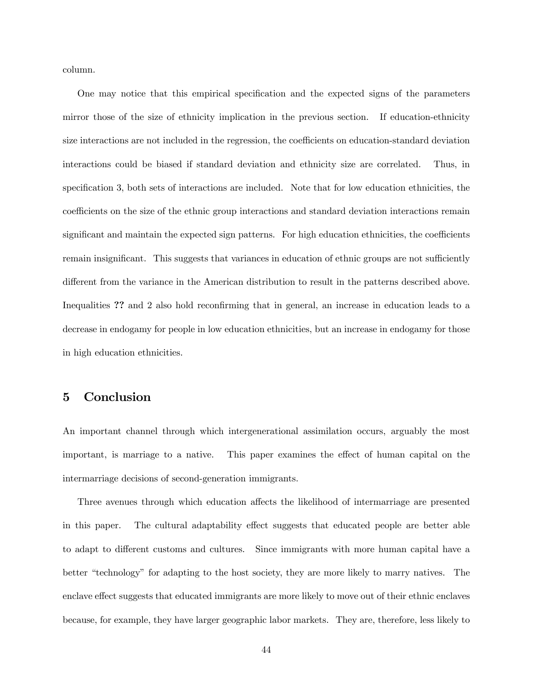column.

One may notice that this empirical specification and the expected signs of the parameters mirror those of the size of ethnicity implication in the previous section. If education-ethnicity size interactions are not included in the regression, the coefficients on education-standard deviation interactions could be biased if standard deviation and ethnicity size are correlated. Thus, in specification 3, both sets of interactions are included. Note that for low education ethnicities, the coefficients on the size of the ethnic group interactions and standard deviation interactions remain significant and maintain the expected sign patterns. For high education ethnicities, the coefficients remain insignificant. This suggests that variances in education of ethnic groups are not sufficiently different from the variance in the American distribution to result in the patterns described above. Inequalities ?? and 2 also hold reconfirming that in general, an increase in education leads to a decrease in endogamy for people in low education ethnicities, but an increase in endogamy for those in high education ethnicities.

#### 5 Conclusion

An important channel through which intergenerational assimilation occurs, arguably the most important, is marriage to a native. This paper examines the effect of human capital on the intermarriage decisions of second-generation immigrants.

Three avenues through which education affects the likelihood of intermarriage are presented in this paper. The cultural adaptability effect suggests that educated people are better able to adapt to different customs and cultures. Since immigrants with more human capital have a better "technology" for adapting to the host society, they are more likely to marry natives. The enclave effect suggests that educated immigrants are more likely to move out of their ethnic enclaves because, for example, they have larger geographic labor markets. They are, therefore, less likely to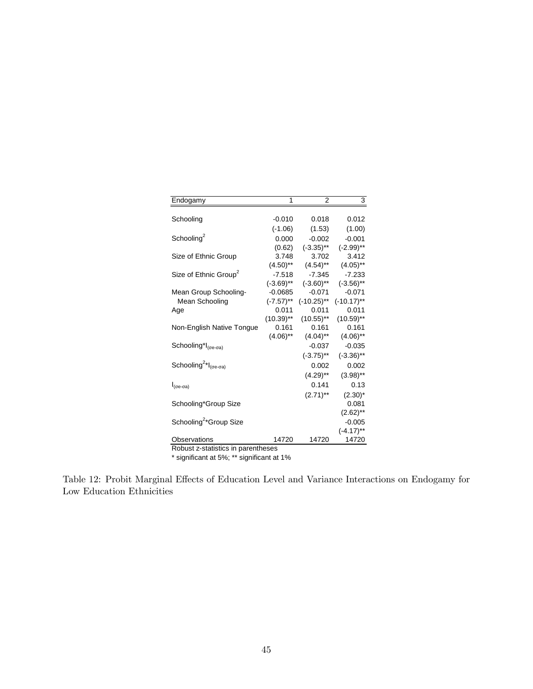| Endogamy                                            | 1            | $\overline{2}$ | 3             |  |
|-----------------------------------------------------|--------------|----------------|---------------|--|
|                                                     |              |                |               |  |
| Schooling                                           | $-0.010$     | 0.018          | 0.012         |  |
|                                                     | $(-1.06)$    | (1.53)         | (1.00)        |  |
| Schooling <sup>2</sup>                              | 0.000        | $-0.002$       | $-0.001$      |  |
|                                                     | (0.62)       | $(-3.35)$ **   | $(-2.99)$ **  |  |
| Size of Ethnic Group                                | 3.748        | 3.702          | 3.412         |  |
|                                                     | $(4.50)$ **  | $(4.54)$ **    | $(4.05)$ **   |  |
| Size of Ethnic Group <sup>2</sup>                   | $-7.518$     | $-7.345$       | $-7.233$      |  |
|                                                     | $(-3.69)$ ** | $(-3.60)$ **   | $(-3.56)$ **  |  |
| Mean Group Schooling-                               | $-0.0685$    | $-0.071$       | $-0.071$      |  |
| Mean Schooling                                      | $(-7.57)$ ** | $(-10.25)$ **  | $(-10.17)$ ** |  |
| Age                                                 | 0.011        | 0.011          | 0.011         |  |
|                                                     | $(10.39)$ ** | $(10.55)$ **   | $(10.59)$ **  |  |
| Non-English Native Tonque                           | 0.161        | 0.161          | 0.161         |  |
|                                                     | $(4.06)$ **  | $(4.04)$ **    | $(4.06)$ **   |  |
| Schooling <sup>*</sup> l <sub>(σe-σa)</sub>         |              | $-0.037$       | $-0.035$      |  |
|                                                     |              | $(-3.75)$ **   | $(-3.36)$ **  |  |
| Schooling <sup>2*</sup> $I_{(\sigma e - \sigma a)}$ |              | 0.002          | 0.002         |  |
|                                                     |              | $(4.29)$ **    | $(3.98)$ **   |  |
| $I_{(\sigma e - \sigma a)}$                         |              | 0.141          | 0.13          |  |
|                                                     |              | $(2.71)$ **    | $(2.30)^*$    |  |
| Schooling*Group Size                                |              |                | 0.081         |  |
|                                                     |              |                | $(2.62)$ **   |  |
| Schooling <sup>2*</sup> Group Size                  |              |                | $-0.005$      |  |
|                                                     |              |                | $(-4.17)$ **  |  |
| Observations                                        | 14720        | 14720          | 14720         |  |
| Robust z-statistics in parentheses                  |              |                |               |  |

\* significant at 5%; \*\* significant at 1%

Table 12: Probit Marginal Effects of Education Level and Variance Interactions on Endogamy for Low Education Ethnicities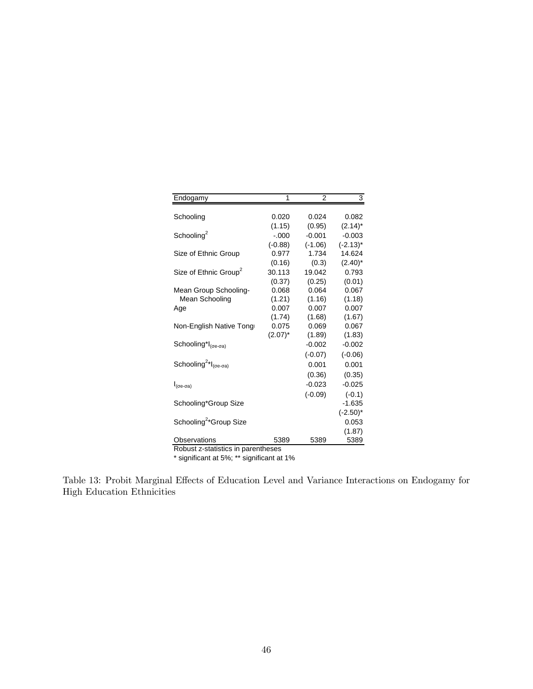| <b>Endogamy</b>                                     | 1          | $\mathfrak{p}$ | 3           |  |
|-----------------------------------------------------|------------|----------------|-------------|--|
|                                                     |            |                |             |  |
| Schooling                                           | 0.020      | 0.024          | 0.082       |  |
|                                                     | (1.15)     | (0.95)         | $(2.14)^*$  |  |
| Schooling <sup>2</sup>                              | $-.000$    | $-0.001$       | $-0.003$    |  |
|                                                     | $(-0.88)$  | $(-1.06)$      | $(-2.13)^*$ |  |
| Size of Ethnic Group                                | 0.977      | 1.734          | 14.624      |  |
|                                                     | (0.16)     | (0.3)          | $(2.40)^*$  |  |
| Size of Ethnic Group <sup>2</sup>                   | 30.113     | 19.042         | 0.793       |  |
|                                                     | (0.37)     | (0.25)         | (0.01)      |  |
| Mean Group Schooling-                               | 0.068      | 0.064          | 0.067       |  |
| Mean Schooling                                      | (1.21)     | (1.16)         | (1.18)      |  |
| Age                                                 | 0.007      | 0.007          | 0.007       |  |
|                                                     | (1.74)     | (1.68)         | (1.67)      |  |
| Non-English Native Tong                             | 0.075      | 0.069          | 0.067       |  |
|                                                     | $(2.07)^*$ | (1.89)         | (1.83)      |  |
| Schooling*I <sub>(σe-σa)</sub>                      |            | $-0.002$       | $-0.002$    |  |
|                                                     |            | $(-0.07)$      | $(-0.06)$   |  |
| Schooling <sup>2*</sup> $I_{(\sigma e - \sigma a)}$ |            | 0.001          | 0.001       |  |
|                                                     |            | (0.36)         | (0.35)      |  |
| $I_{(\sigma e - \sigma a)}$                         |            | $-0.023$       | $-0.025$    |  |
|                                                     |            | $(-0.09)$      | $(-0.1)$    |  |
| Schooling*Group Size                                |            |                | $-1.635$    |  |
|                                                     |            |                | $(-2.50)^*$ |  |
| Schooling <sup>2</sup> *Group Size                  |            |                | 0.053       |  |
|                                                     |            |                | (1.87)      |  |
| Observations                                        | 5389       | 5389           | 5389        |  |
| Robust z-statistics in parentheses                  |            |                |             |  |

\* significant at 5%; \*\* significant at 1%

Table 13: Probit Marginal Effects of Education Level and Variance Interactions on Endogamy for High Education Ethnicities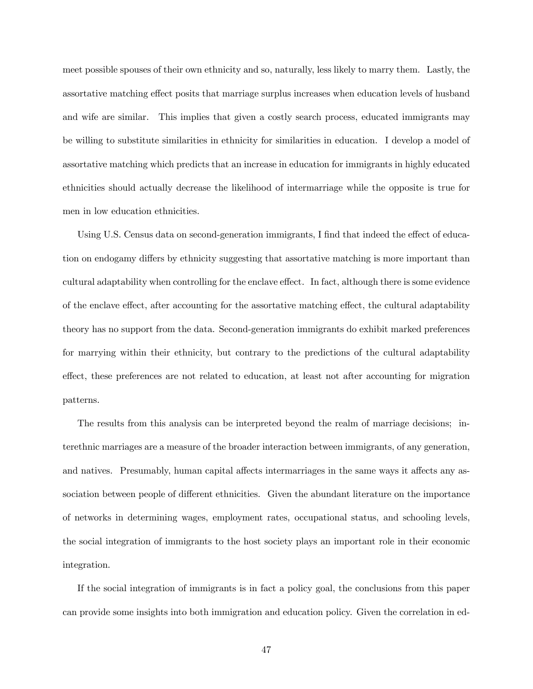meet possible spouses of their own ethnicity and so, naturally, less likely to marry them. Lastly, the assortative matching effect posits that marriage surplus increases when education levels of husband and wife are similar. This implies that given a costly search process, educated immigrants may be willing to substitute similarities in ethnicity for similarities in education. I develop a model of assortative matching which predicts that an increase in education for immigrants in highly educated ethnicities should actually decrease the likelihood of intermarriage while the opposite is true for men in low education ethnicities.

Using U.S. Census data on second-generation immigrants, I find that indeed the effect of education on endogamy differs by ethnicity suggesting that assortative matching is more important than cultural adaptability when controlling for the enclave effect. In fact, although there is some evidence of the enclave effect, after accounting for the assortative matching effect, the cultural adaptability theory has no support from the data. Second-generation immigrants do exhibit marked preferences for marrying within their ethnicity, but contrary to the predictions of the cultural adaptability effect, these preferences are not related to education, at least not after accounting for migration patterns.

The results from this analysis can be interpreted beyond the realm of marriage decisions; interethnic marriages are a measure of the broader interaction between immigrants, of any generation, and natives. Presumably, human capital affects intermarriages in the same ways it affects any association between people of different ethnicities. Given the abundant literature on the importance of networks in determining wages, employment rates, occupational status, and schooling levels, the social integration of immigrants to the host society plays an important role in their economic integration.

If the social integration of immigrants is in fact a policy goal, the conclusions from this paper can provide some insights into both immigration and education policy. Given the correlation in ed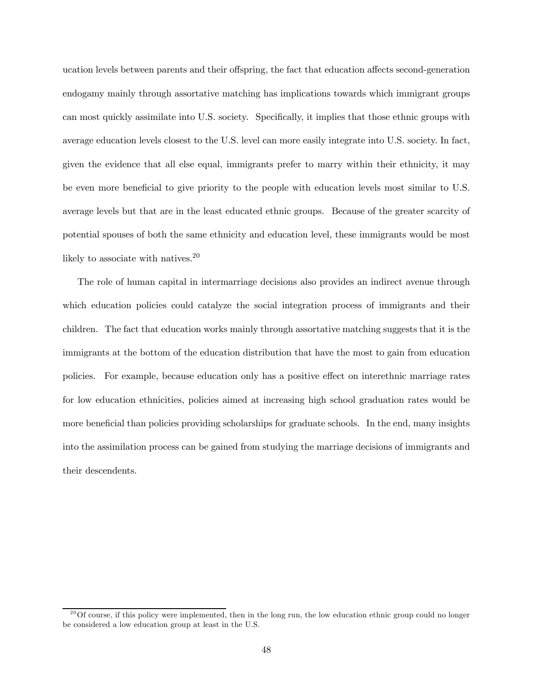ucation levels between parents and their offspring, the fact that education affects second-generation endogamy mainly through assortative matching has implications towards which immigrant groups can most quickly assimilate into U.S. society. Specifically, it implies that those ethnic groups with average education levels closest to the U.S. level can more easily integrate into U.S. society. In fact, given the evidence that all else equal, immigrants prefer to marry within their ethnicity, it may be even more beneficial to give priority to the people with education levels most similar to U.S. average levels but that are in the least educated ethnic groups. Because of the greater scarcity of potential spouses of both the same ethnicity and education level, these immigrants would be most likely to associate with natives.<sup>20</sup>

The role of human capital in intermarriage decisions also provides an indirect avenue through which education policies could catalyze the social integration process of immigrants and their children. The fact that education works mainly through assortative matching suggests that it is the immigrants at the bottom of the education distribution that have the most to gain from education policies. For example, because education only has a positive effect on interethnic marriage rates for low education ethnicities, policies aimed at increasing high school graduation rates would be more beneficial than policies providing scholarships for graduate schools. In the end, many insights into the assimilation process can be gained from studying the marriage decisions of immigrants and their descendents.

 $^{20}$ Of course, if this policy were implemented, then in the long run, the low education ethnic group could no longer be considered a low education group at least in the U.S.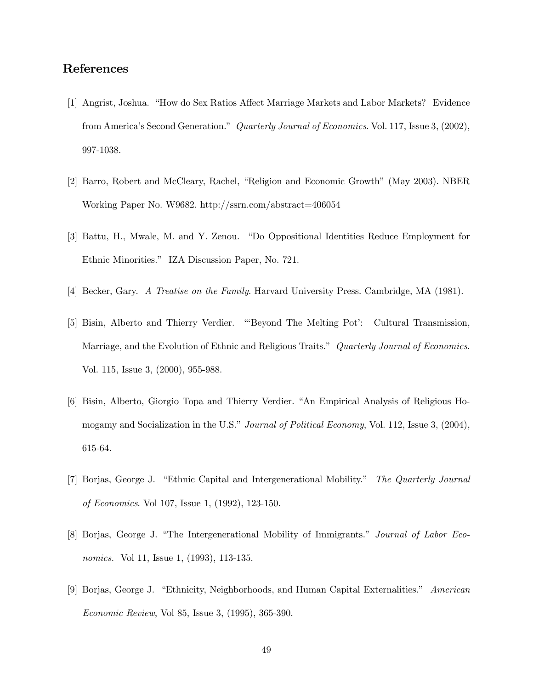## References

- [1] Angrist, Joshua. "How do Sex Ratios Affect Marriage Markets and Labor Markets? Evidence from America's Second Generation." Quarterly Journal of Economics. Vol. 117, Issue 3, (2002), 997-1038.
- [2] Barro, Robert and McCleary, Rachel, "Religion and Economic Growth" (May 2003). NBER Working Paper No. W9682. http://ssrn.com/abstract=406054
- [3] Battu, H., Mwale, M. and Y. Zenou. "Do Oppositional Identities Reduce Employment for Ethnic Minorities." IZA Discussion Paper, No. 721.
- [4] Becker, Gary. A Treatise on the Family. Harvard University Press. Cambridge, MA (1981).
- [5] Bisin, Alberto and Thierry Verdier. "'Beyond The Melting Pot': Cultural Transmission, Marriage, and the Evolution of Ethnic and Religious Traits." Quarterly Journal of Economics. Vol. 115, Issue 3, (2000), 955-988.
- [6] Bisin, Alberto, Giorgio Topa and Thierry Verdier. "An Empirical Analysis of Religious Homogamy and Socialization in the U.S." Journal of Political Economy, Vol. 112, Issue 3, (2004), 615-64.
- [7] Borjas, George J. "Ethnic Capital and Intergenerational Mobility." The Quarterly Journal of Economics. Vol 107, Issue 1, (1992), 123-150.
- [8] Borjas, George J. "The Intergenerational Mobility of Immigrants." Journal of Labor Economics. Vol 11, Issue 1, (1993), 113-135.
- [9] Borjas, George J. "Ethnicity, Neighborhoods, and Human Capital Externalities." American Economic Review, Vol 85, Issue 3, (1995), 365-390.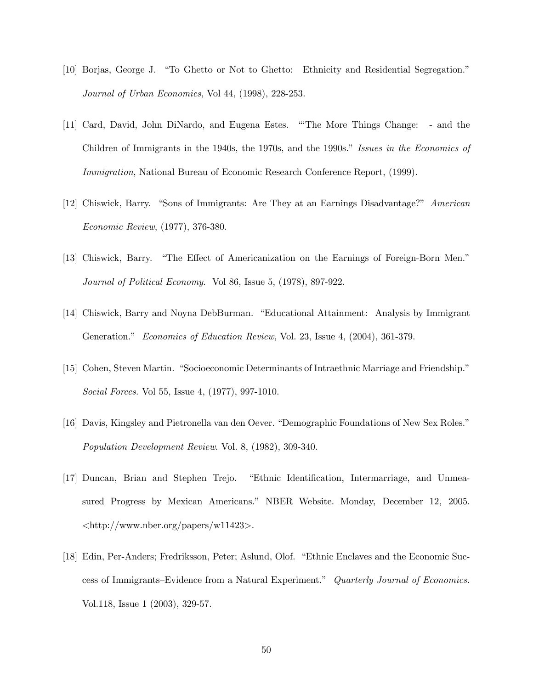- [10] Borjas, George J. "To Ghetto or Not to Ghetto: Ethnicity and Residential Segregation." Journal of Urban Economics, Vol 44, (1998), 228-253.
- [11] Card, David, John DiNardo, and Eugena Estes. "'The More Things Change: and the Children of Immigrants in the 1940s, the 1970s, and the 1990s." Issues in the Economics of Immigration, National Bureau of Economic Research Conference Report, (1999).
- [12] Chiswick, Barry. "Sons of Immigrants: Are They at an Earnings Disadvantage?" American Economic Review, (1977), 376-380.
- [13] Chiswick, Barry. "The Effect of Americanization on the Earnings of Foreign-Born Men." Journal of Political Economy. Vol 86, Issue 5, (1978), 897-922.
- [14] Chiswick, Barry and Noyna DebBurman. "Educational Attainment: Analysis by Immigrant Generation." Economics of Education Review, Vol. 23, Issue 4, (2004), 361-379.
- [15] Cohen, Steven Martin. "Socioeconomic Determinants of Intraethnic Marriage and Friendship." Social Forces. Vol 55, Issue 4, (1977), 997-1010.
- [16] Davis, Kingsley and Pietronella van den Oever. "Demographic Foundations of New Sex Roles." Population Development Review. Vol. 8, (1982), 309-340.
- [17] Duncan, Brian and Stephen Trejo. "Ethnic Identification, Intermarriage, and Unmeasured Progress by Mexican Americans." NBER Website. Monday, December 12, 2005. <http://www.nber.org/papers/w11423>.
- [18] Edin, Per-Anders; Fredriksson, Peter; Aslund, Olof. "Ethnic Enclaves and the Economic Success of Immigrants—Evidence from a Natural Experiment." Quarterly Journal of Economics. Vol.118, Issue 1 (2003), 329-57.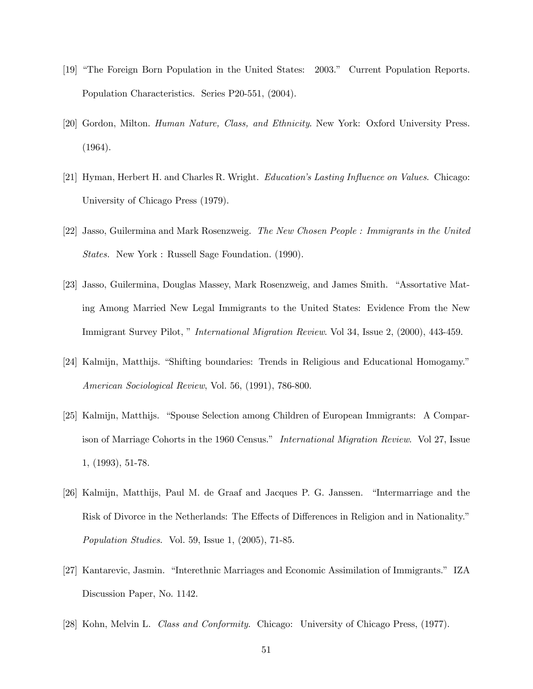- [19] "The Foreign Born Population in the United States: 2003." Current Population Reports. Population Characteristics. Series P20-551, (2004).
- [20] Gordon, Milton. Human Nature, Class, and Ethnicity. New York: Oxford University Press. (1964).
- [21] Hyman, Herbert H. and Charles R. Wright. Education's Lasting Influence on Values. Chicago: University of Chicago Press (1979).
- [22] Jasso, Guilermina and Mark Rosenzweig. The New Chosen People : Immigrants in the United States. New York : Russell Sage Foundation. (1990).
- [23] Jasso, Guilermina, Douglas Massey, Mark Rosenzweig, and James Smith. "Assortative Mating Among Married New Legal Immigrants to the United States: Evidence From the New Immigrant Survey Pilot, " International Migration Review. Vol 34, Issue 2, (2000), 443-459.
- [24] Kalmijn, Matthijs. "Shifting boundaries: Trends in Religious and Educational Homogamy." American Sociological Review, Vol. 56, (1991), 786-800.
- [25] Kalmijn, Matthijs. "Spouse Selection among Children of European Immigrants: A Comparison of Marriage Cohorts in the 1960 Census." International Migration Review. Vol 27, Issue 1, (1993), 51-78.
- [26] Kalmijn, Matthijs, Paul M. de Graaf and Jacques P. G. Janssen. "Intermarriage and the Risk of Divorce in the Netherlands: The Effects of Differences in Religion and in Nationality." Population Studies. Vol. 59, Issue 1, (2005), 71-85.
- [27] Kantarevic, Jasmin. "Interethnic Marriages and Economic Assimilation of Immigrants." IZA Discussion Paper, No. 1142.
- [28] Kohn, Melvin L. Class and Conformity. Chicago: University of Chicago Press, (1977).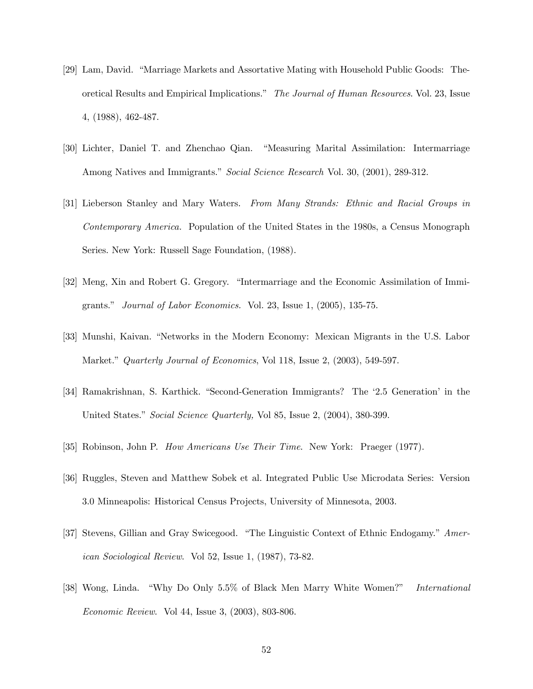- [29] Lam, David. "Marriage Markets and Assortative Mating with Household Public Goods: Theoretical Results and Empirical Implications." The Journal of Human Resources. Vol. 23, Issue 4, (1988), 462-487.
- [30] Lichter, Daniel T. and Zhenchao Qian. "Measuring Marital Assimilation: Intermarriage Among Natives and Immigrants." Social Science Research Vol. 30, (2001), 289-312.
- [31] Lieberson Stanley and Mary Waters. From Many Strands: Ethnic and Racial Groups in Contemporary America. Population of the United States in the 1980s, a Census Monograph Series. New York: Russell Sage Foundation, (1988).
- [32] Meng, Xin and Robert G. Gregory. "Intermarriage and the Economic Assimilation of Immigrants." Journal of Labor Economics. Vol. 23, Issue 1, (2005), 135-75.
- [33] Munshi, Kaivan. "Networks in the Modern Economy: Mexican Migrants in the U.S. Labor Market." *Quarterly Journal of Economics*, Vol 118, Issue 2, (2003), 549-597.
- [34] Ramakrishnan, S. Karthick. "Second-Generation Immigrants? The '2.5 Generation' in the United States." Social Science Quarterly, Vol 85, Issue 2, (2004), 380-399.
- [35] Robinson, John P. How Americans Use Their Time. New York: Praeger (1977).
- [36] Ruggles, Steven and Matthew Sobek et al. Integrated Public Use Microdata Series: Version 3.0 Minneapolis: Historical Census Projects, University of Minnesota, 2003.
- [37] Stevens, Gillian and Gray Swicegood. "The Linguistic Context of Ethnic Endogamy." American Sociological Review. Vol 52, Issue 1, (1987), 73-82.
- [38] Wong, Linda. "Why Do Only 5.5% of Black Men Marry White Women?" International Economic Review. Vol 44, Issue 3, (2003), 803-806.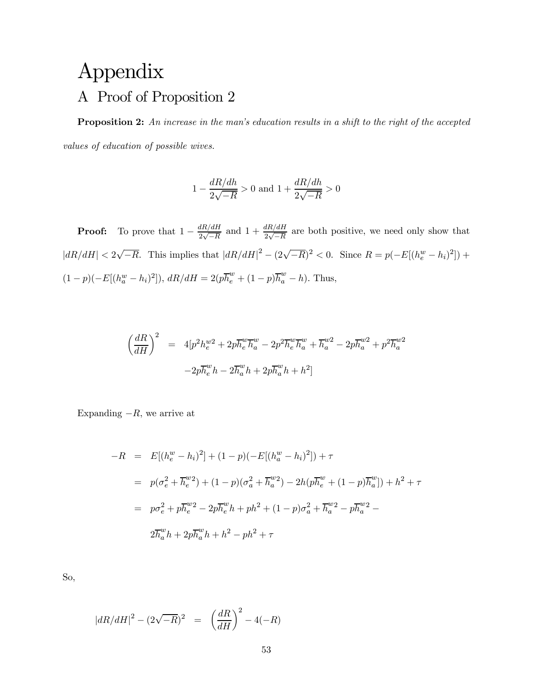## Appendix A Proof of Proposition 2

Proposition 2: An increase in the man's education results in a shift to the right of the accepted values of education of possible wives.

$$
1 - \frac{dR/dh}{2\sqrt{-R}} > 0
$$
 and 
$$
1 + \frac{dR/dh}{2\sqrt{-R}} > 0
$$

**Proof:** To prove that  $1 - \frac{dR/dH}{2\sqrt{-R}}$  and  $1 + \frac{dR/dH}{2\sqrt{-R}}$  are both positive, we need only show that  $|dR/dH| < 2\sqrt{-R}$ . This implies that  $|dR/dH|^2 - (2\sqrt{-R})^2 < 0$ . Since  $R = p(-E[(h_e^w - h_i)^2])$  +  $(1-p)(-E[(h_a^w - h_i)^2]), dR/dH = 2(p\overline{h}_e^w + (1-p)\overline{h}_a^w - h).$  Thus,

$$
\left(\frac{dR}{dH}\right)^2 = 4[p^2h_e^{w2} + 2p\overline{h}_e^{w}\overline{h}_a^{w} - 2p^2\overline{h}_e^{w}\overline{h}_a^{w} + \overline{h}_a^{w2} - 2p\overline{h}_a^{w2} + p^2\overline{h}_a^{w2} - 2p\overline{h}_e^{w}h - 2\overline{h}_a^{w}h + 2p\overline{h}_a^{w}h + h^2]
$$

Expanding  $-R$ , we arrive at

$$
-R = E[(h_e^w - h_i)^2] + (1 - p)(-E[(h_a^w - h_i)^2]) + \tau
$$
  
\n
$$
= p(\sigma_e^2 + \overline{h}_e^{w_2}) + (1 - p)(\sigma_a^2 + \overline{h}_a^{w_2}) - 2h(p\overline{h}_e^{w} + (1 - p)\overline{h}_a^{w}]) + h^2 + \tau
$$
  
\n
$$
= p\sigma_e^2 + p\overline{h}_e^{w_2} - 2p\overline{h}_e^{w}h + ph^2 + (1 - p)\sigma_a^2 + \overline{h}_a^{w_2} - p\overline{h}_a^{w_2} - 2\overline{h}_a^{w}h + 2p\overline{h}_a^{w}h + h^2 - ph^2 + \tau
$$

So,

$$
|dR/dH|^2 - (2\sqrt{-R})^2 = \left(\frac{dR}{dH}\right)^2 - 4(-R)
$$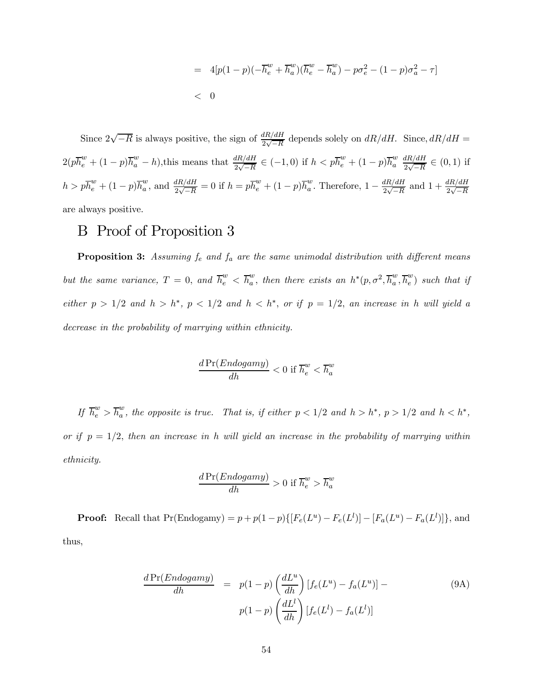= 
$$
4[p(1-p)(-\overline{h}_e^w + \overline{h}_a^w)(\overline{h}_e^w - \overline{h}_a^w) - p\sigma_e^2 - (1-p)\sigma_a^2 - \tau]
$$
  
< 0

Since  $2\sqrt{-R}$  is always positive, the sign of  $\frac{dR/dH}{2\sqrt{-R}}$  depends solely on  $dR/dH$ . Since,  $dR/dH =$  $2(p\overline{h}_e^w + (1-p)\overline{h}_a^w - h)$ , this means that  $\frac{dR/dH}{2\sqrt{-R}} \in (-1,0)$  if  $h < p\overline{h}_e^w + (1-p)\overline{h}_a^w$ a  $dR/dH$  $\frac{4R}{4\sqrt{-R}} \in (0,1)$  if  $h > p\overline{h}_e^w + (1-p)\overline{h}_a^w$ , and  $\frac{dR/dH}{2\sqrt{-R}} = 0$  if  $h = p\overline{h}_e^w + (1-p)\overline{h}_a^w$ . Therefore,  $1 - \frac{dR/dH}{2\sqrt{-R}}$  and  $1 + \frac{dR/dH}{2\sqrt{-R}}$ are always positive.

## B Proof of Proposition 3

**Proposition 3:** Assuming  $f_e$  and  $f_a$  are the same unimodal distribution with different means but the same variance,  $T = 0$ , and  $\overline{h}_{e}^{w} < \overline{h}_{a}^{w}$ , then there exists an  $h^{*}(p, \sigma^{2}, \overline{h}_{a}^{w}, \overline{h}_{e}^{w})$  such that if either  $p > 1/2$  and  $h > h<sup>*</sup>$ ,  $p < 1/2$  and  $h < h<sup>*</sup>$ , or if  $p = 1/2$ , an increase in h will yield a decrease in the probability of marrying within ethnicity.

$$
\frac{d\Pr(Endogamy)}{dh} < 0 \text{ if } \overline{h}_e^w < \overline{h}_a^w
$$

If  $\overline{h}_{e}^{w} > \overline{h}_{a}^{w}$ , the opposite is true. That is, if either  $p < 1/2$  and  $h > h^{*}$ ,  $p > 1/2$  and  $h < h^{*}$ , or if  $p = 1/2$ , then an increase in h will yield an increase in the probability of marrying within ethnicity.

$$
\frac{dPr(Endogamy)}{dh} > 0 \text{ if } \overline{h}_e^w > \overline{h}_a^w
$$

**Proof:** Recall that  $Pr(Endogamy) = p + p(1-p)\{[F_e(L^u) - F_e(L^l)] - [F_a(L^u) - F_a(L^l)]\}$ , and thus,

$$
\frac{d\Pr(Endogamy)}{dh} = p(1-p) \left(\frac{dL^u}{dh}\right) [f_e(L^u) - f_a(L^u)] -
$$
\n
$$
p(1-p) \left(\frac{dL^l}{dh}\right) [f_e(L^l) - f_a(L^l)]
$$
\n(9A)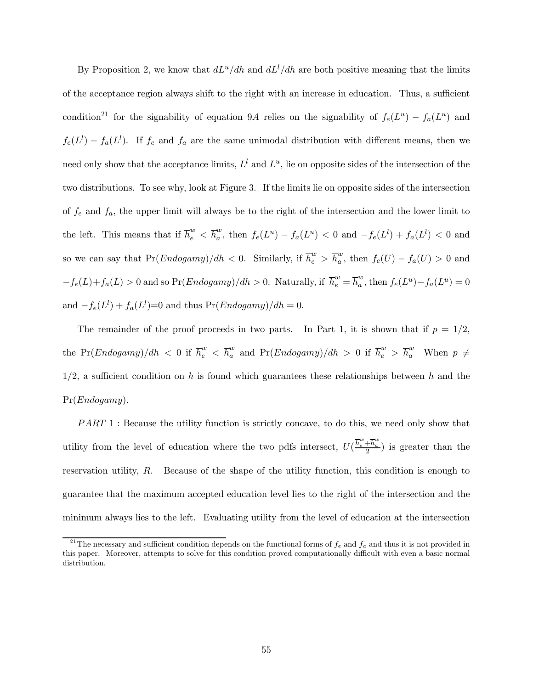By Proposition 2, we know that  $dL^u/dh$  and  $dL^l/dh$  are both positive meaning that the limits of the acceptance region always shift to the right with an increase in education. Thus, a sufficient condition<sup>21</sup> for the signability of equation 9A relies on the signability of  $f_e(L^u) - f_a(L^u)$  and  $f_e(L^l) - f_a(L^l)$ . If  $f_e$  and  $f_a$  are the same unimodal distribution with different means, then we need only show that the acceptance limits,  $L^l$  and  $L^u$ , lie on opposite sides of the intersection of the two distributions. To see why, look at Figure 3. If the limits lie on opposite sides of the intersection of  $f_e$  and  $f_a$ , the upper limit will always be to the right of the intersection and the lower limit to the left. This means that if  $\overline{h}_e^w < \overline{h}_a^w$ , then  $f_e(L^u) - f_a(L^u) < 0$  and  $-f_e(L^l) + f_a(L^l) < 0$  and so we can say that  $Pr(Endogamy)/dh < 0$ . Similarly, if  $\overline{h}_e^w > \overline{h}_a^w$ , then  $f_e(U) - f_a(U) > 0$  and  $-f_e(L)+f_a(L) > 0$  and so  $\Pr(Endogamy)/dh > 0$ . Naturally, if  $\overline{h}_e^w = \overline{h}_a^w$ , then  $f_e(L^u) - f_a(L^u) = 0$ and  $-f_e(L^l) + f_a(L^l) = 0$  and thus  $Pr(Endogamy)/dh = 0$ .

The remainder of the proof proceeds in two parts. In Part 1, it is shown that if  $p = 1/2$ , the Pr(*Endogamy*)/dh < 0 if  $\overline{h}_{e}^{w} < \overline{h}_{a}^{w}$  and Pr(*Endogamy*)/dh > 0 if  $\overline{h}_{e}^{w} > \overline{h}_{a}^{w}$  When  $p \neq$  $1/2$ , a sufficient condition on h is found which guarantees these relationships between h and the Pr(Endogamy).

 $PART 1$ : Because the utility function is strictly concave, to do this, we need only show that utility from the level of education where the two pdfs intersect,  $U(\frac{\overline{h}_e^w + \overline{h}_a^w}{2})$  is greater than the reservation utility, R. Because of the shape of the utility function, this condition is enough to guarantee that the maximum accepted education level lies to the right of the intersection and the minimum always lies to the left. Evaluating utility from the level of education at the intersection

<sup>&</sup>lt;sup>21</sup>The necessary and sufficient condition depends on the functional forms of  $f_e$  and  $f_a$  and thus it is not provided in this paper. Moreover, attempts to solve for this condition proved computationally difficult with even a basic normal distribution.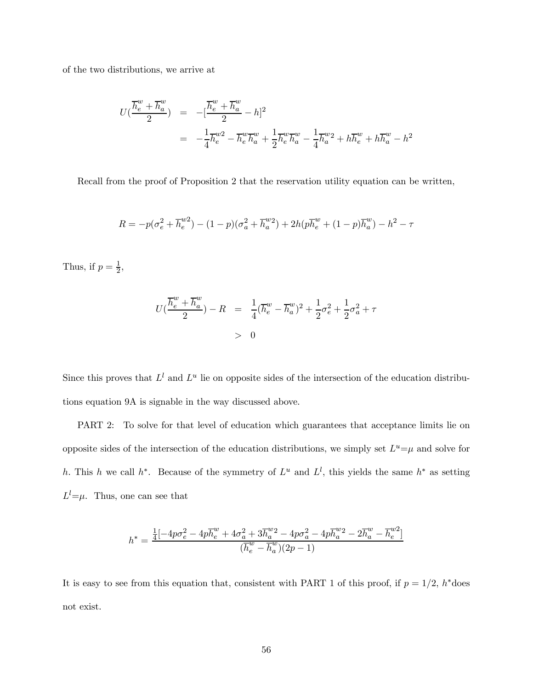of the two distributions, we arrive at

$$
U(\frac{\overline{h}^w_e + \overline{h}^w_a}{2}) = -[\frac{\overline{h}^w_e + \overline{h}^w_a}{2} - h]^2
$$
  
=  $-\frac{1}{4}\overline{h}^{w2}_e - \overline{h}^w_e \overline{h}^w_a + \frac{1}{2}\overline{h}^w_e \overline{h}^w_a - \frac{1}{4}\overline{h}^{w2}_a + h\overline{h}^w_e + h\overline{h}^w_a - h^2$ 

Recall from the proof of Proposition 2 that the reservation utility equation can be written,

$$
R = -p(\sigma_e^2 + \overline{h}_e^{w2}) - (1 - p)(\sigma_a^2 + \overline{h}_a^{w2}) + 2h(p\overline{h}_e^{w} + (1 - p)\overline{h}_a^{w}) - h^2 - \tau
$$

Thus, if  $p = \frac{1}{2}$ ,

$$
U(\frac{\overline{h}_{e}^{w} + \overline{h}_{a}^{w}}{2}) - R = \frac{1}{4}(\overline{h}_{e}^{w} - \overline{h}_{a}^{w})^{2} + \frac{1}{2}\sigma_{e}^{2} + \frac{1}{2}\sigma_{a}^{2} + \tau
$$
  
> 0

Since this proves that  $L^l$  and  $L^u$  lie on opposite sides of the intersection of the education distributions equation 9A is signable in the way discussed above.

PART 2: To solve for that level of education which guarantees that acceptance limits lie on opposite sides of the intersection of the education distributions, we simply set  $L^u=\mu$  and solve for h. This h we call h<sup>\*</sup>. Because of the symmetry of  $L^u$  and  $L^l$ , this yields the same  $h^*$  as setting  $L^{l} = \mu$ . Thus, one can see that

$$
h^* = \frac{\frac{1}{4}[-4p\sigma_e^2 - 4p\overline{h}_e^w + 4\sigma_a^2 + 3\overline{h}_a^{w2} - 4p\sigma_a^2 - 4p\overline{h}_a^{w2} - 2\overline{h}_a^w - \overline{h}_e^{w2}]}{(\overline{h}_e^w - \overline{h}_a^w)(2p - 1)}
$$

It is easy to see from this equation that, consistent with PART 1 of this proof, if  $p = 1/2$ , h<sup>\*</sup>does not exist.